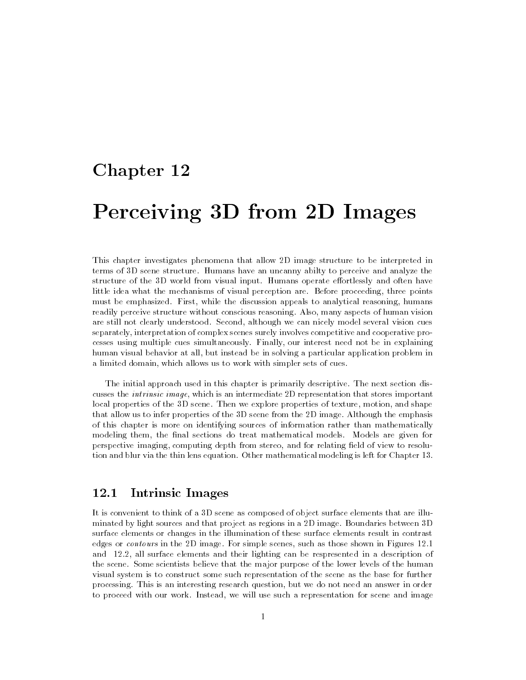# Chapter 12

# Perceiving 3D from 2D Images

This chapter investigates phenomena that allow 2D image structure to be interpreted in terms of 3D scene structure. Humans have an uncanny abilty to perceive and analyze the structure of the 3D world from visual input. Humans operate effortlessly and often have little idea what the mechanisms of visual perception are. Before proceeding, three points must be emphasized. First, while the discussion appeals to analytical reasoning, humans readily perceive structure without conscious reasoning. Also, many aspects of human vision are still not clearly understood. Second, although we can nicely model several vision cues separately, interpretation of complex scenes surely involves competitive and cooperative processes using multiple cues simultaneously. Finally, our interest need not be in explaining human visual behavior at all, but instead be in solving a particular application problem in a limited domain, which allows us to work with simpler sets of cues.

The initial approach used in this chapter is primarily descriptive. The next section discusses the intrinsic image, which is an intermediate 2D representation that stores important local properties of the 3D scene. Then we explore properties of texture, motion, and shape that allow us to infer properties of the 3D scene from the 2D image. Although the emphasis of this chapter is more on identifying sources of information rather than mathematically modeling them, the final sections do treat mathematical models. Models are given for perspective imaging, computing depth from stereo, and for relating field of view to resolution and blur via the thin lens equation. Other mathematical modeling is left for Chapter 13.

## 12.1 Intrinsic Images

It is convenient to think of a 3D scene as composed of object surface elements that are illuminated by light sources and that project as regions in a 2D image. Boundaries between 3D surface elements or changes in the illumination of these surface elements result in contrast edges or contours in the 2D image. For simple scenes, such as those shown in Figures 12.1 and 12.2, all surface elements and their lighting can be respresented in a description of the scene. Some scientists believe that the major purpose of the lower levels of the human visual system is to construct some such representation of the scene as the base for further processing. This is an interesting research question, but we do not need an answer in order to proceed with our work. Instead, we will use such a representation for scene and image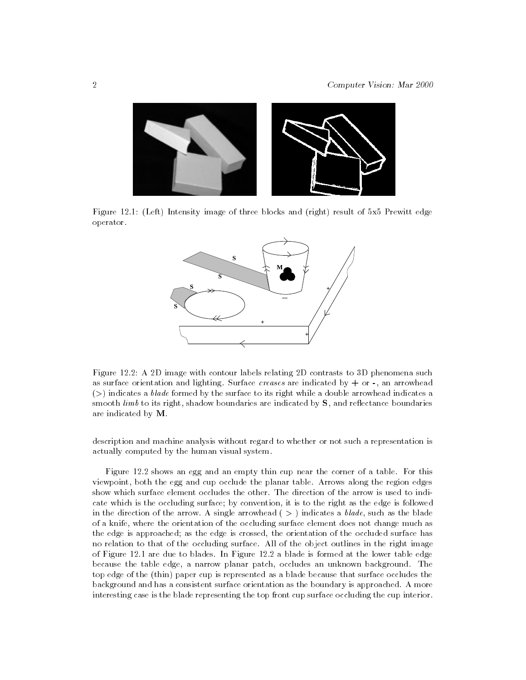

Figure 12.1: (Left) Intensity image of three blocks and (right) result of 5x5 Prewitt edge operator.



Figure 12.2: A 2D image with contour labels relating 2D contrasts to 3D phenomena such as surface orientation and lighting. Surface *creases* are indicated by  $+$  or  $-$ , an arrowhead  $(>)$  indicates a *blade* formed by the surface to its right while a double arrowhead indicates a smooth  $limb$  to its right, shadow boundaries are indicated by  $S$ , and reflectance boundaries are indicated by M.

description and machine analysis without regard to whether or not such a representation is actually computed by the human visual system.

Figure 12.2 shows an egg and an empty thin cup near the corner of a table. For this viewpoint, both the egg and cup occlude the planar table. Arrows along the region edges show which surface element occludes the other. The direction of the arrow is used to indicate which is the occluding surface; by convention, it is to the right as the edge is followed in the direction of the arrow. A single arrowhead  $(>)$  indicates a blade, such as the blade of a knife, where the orientation of the occluding surface element does not change much as the edge is approached; as the edge is crossed, the orientation of the occluded surface has no relation to that of the occluding surface. All of the object outlines in the right image of Figure 12.1 are due to blades. In Figure 12.2 a blade is formed at the lower table edge because the table edge, a narrow planar patch, occludes an unknown background. The top edge of the (thin) paper cup is represented as a blade because that surface occludes the background and has a consistent surface orientation as the boundary is approached. A more interesting case is the blade representing the top front cup surface occluding the cup interior.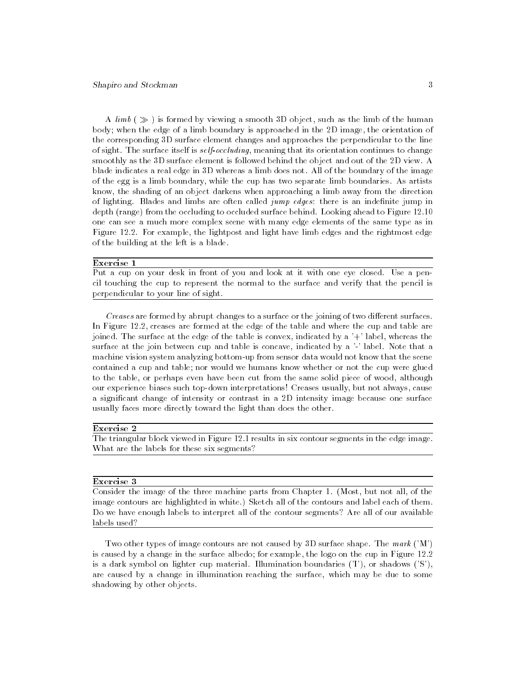A  $\lim_{k \to \infty}$  is formed by viewing a smooth 3D object, such as the limb of the human body; when the edge of a limb boundary is approached in the 2D image, the orientation of the corresponding 3D surface element changes and approaches the perpendicular to the line of sight. The surface itself is self-occluding, meaning that its orientation continues to change smoothly as the 3D surface element is followed behind the object and out of the 2D view. A blade indicates a real edge in 3D whereas a limb does not. All of the boundary of the image of the egg is a limb boundary, while the cup has two separate limb boundaries. As artists know, the shading of an object darkens when approaching a limb away from the direction of lighting. Blades and limbs are often called *jump edges*: there is an indefinite jump in depth (range) from the occluding to occluded surface behind. Looking ahead to Figure 12.10 one can see a much more complex scene with many edge elements of the same type as in Figure 12.2. For example, the lightpost and light have limb edges and the rightmost edge of the building at the left is a blade. of the building at the building at the building at the left is a blade. In the left is a blade. In the left is a blade. In the left is a blade. In the left is a blade. In the left is a blade. In the left is a blade. In th

### Exercise 1

Put a cup on your desk in front of you and look at it with one eye closed. Use a pencil touching the cup to represent the normal to the surface and verify that the pencil is perpendicular to your line of sight.

Creases are formed by abrupt changes to a surface or the joining of two different surfaces. In Figure 12.2, creases are formed at the edge of the table and where the cup and table are joined. The surface at the edge of the table is convex, indicated by a '+' label, whereas the surface at the join between cup and table is concave, indicated by a '-' label. Note that a machine vision system analyzing bottom-up from sensor data would not know that the scene contained a cup and table; nor would we humans know whether or not the cup were glued to the table, or perhaps even have been cut from the same solid piece of wood, although our experience biases such top-down interpretations! Creases usually, but not always, cause a signicant change of intensity or contrast in a 2D intensity image because one surface usually faces more directly toward the light than does the other.

#### Exercise 2

The triangular block viewed in Figure 12.1 results in six contour segments in the edge image. What are the labels for these six segments?

### Exercise 3

Consider the image of the three machine parts from Chapter 1. (Most, but not all, of the image contours are highlighted in white.) Sketch all of the contours and label each of them. Do we have enough labels to interpret all of the contour segments? Are all of our available labels used?

Two other types of image contours are not caused by 3D surface shape. The mark  $(M')$ is caused by a change in the surface albedo; for example, the logo on the cup in Figure 12.2 is a dark symbol on lighter cup material. Illumination boundaries  $(T)$ , or shadows  $(S')$ , are caused by a change in illumination reaching the surface, which may be due to some shadowing by other objects.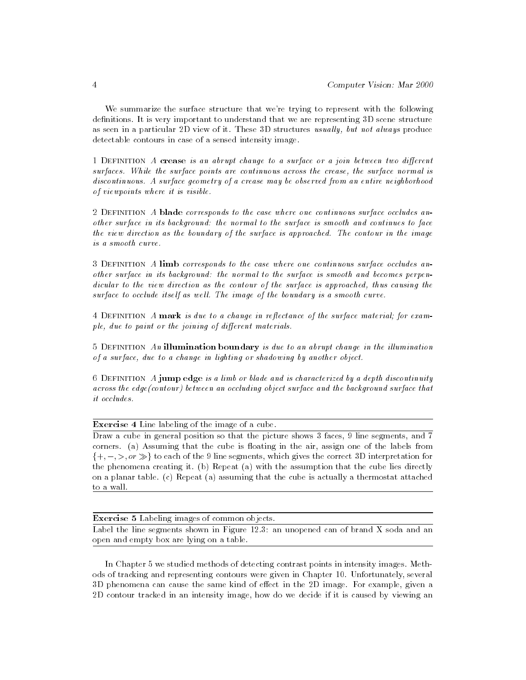We summarize the surface structure that we're trying to represent with the following definitions. It is very important to understand that we are representing 3D scene structure as seen in a particular 2D view of it. These 3D structures usually, but not always produce detectable contours in case of a sensed intensity image.

1 DEFINITION  $\tilde{A}$  crease is an abrupt change to a surface or a join between two different surfaces. While the surface points are continuous across the crease, the surface normal is discontinuous. A surface geometry of a crease may be observed from an entire neighborhood of viewpoints where it is visible.

2 DEFINITION A blade corresponds to the case where one continuous surface occludes another surface in its background: the normal to the surface is smooth and continues to face the view direction as the boundary of the surface is approached. The contour in the image is a smooth curve

3 Definition A limb corresponds to the case where one continuous surface occludes another surface in its background: the normal to the surface is smooth and becomes perpendicular to the view direction as the contour of the surface is approached, thus causing the surface to occlude itself as well. The image of the boundary is a smooth curve.

4 DEFINITION A mark is due to a change in reflectance of the surface material; for example, due to paint or the joining of different materials.

5 DEFINITION An illumination boundary is due to an abrupt change in the illumination of a surface, due to a change in lighting or shadowing by another object.

6 DEFINITION  $\vec{A}$  jump edge is a limb or blade and is characterized by a depth discontinuity across the edge(contour) between an occluding object surface and the background surface that *it* occludes.

Exercise 4 Line labeling of the image of a cube.

Draw a cube in general position so that the picture shows 3 faces, 9 line segments, and 7 corners. (a) Assuming that the cube is floating in the air, assign one of the labels from  $\{+, -, >, or \gg\}$  to each of the 9 line segments, which gives the correct 3D interpretation for the phenomena creating it. (b) Repeat (a) with the assumption that the cube lies directly on a planar table. (c) Repeat (a) assuming that the cube is actually a thermostat attached to a wall.

Exercise 5 Labeling images of common objects. Label the line segments shown in Figure 12.3: an unopened can of brand X soda and an open and empty box are lying on a table.

In Chapter 5 we studied methods of detecting contrast points in intensity images. Methods of tracking and representing contours were given in Chapter 10. Unfortunately, several 3D phenomena can cause the same kind of effect in the 2D image. For example, given a 2D contour tracked in an intensity image, how do we decide if it is caused by viewing an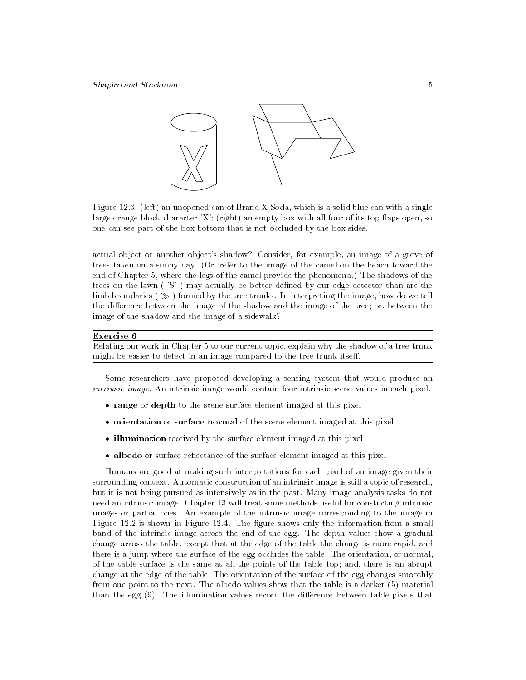

Figure 12.3: (left) an unopened can of Brand X Soda, which is a solid blue can with a single large orange block character  $'X'$ ; (right) an empty box with all four of its top flaps open, so one can see part of the box bottom that is not occluded by the box sides.

actual object or another object's shadow? Consider, for example, an image of a grove of trees taken on a sunny day. (Or, refer to the image of the camel on the beach toward the end of Chapter 5, where the legs of the camel provide the phenomena.) The shadows of the trees on the lawn ( 'S' ) may actually be better dened by our edge detector than are the limb boundaries ( $\gg$ ) formed by the tree trunks. In interpreting the image, how do we tell the difference between the image of the shadow and the image of the tree; or, between the image of the shadow and the image of a sidewalk?

### Exercise 6

Relating our work in Chapter 5 to our current topic, explain why the shadow of a tree trunk might be easier to detect in an image compared to the tree trunk itself.

Some researchers have proposed developing a sensing system that would produce an intrinsic image. An intrinsic image would contain four intrinsic scene values in each pixel.

- $\bullet$  range or depth to the scene surface element imaged at this pixel  $\hspace{0.1mm}$
- $\bullet$  orientation or surface normal of the scene element imaged at this pixel  $\hspace{0.1mm}$
- $\bullet$  illumination received by the surface element imaged at this pixel  $\hspace{0.1mm}$
- $\bullet$  albedo or surface reflectance of the surface element imaged at this pixel  $\hspace{0.1mm}$

Humans are good at making such interpretations for each pixel of an image given their surrounding context. Automatic construction of an intrinsic image is still a topic of research, but it is not being pursued as intensively as in the past. Many image analysis tasks do not need an intrinsic image. Chapter 13 will treat some methods useful for constucting intrinsic images or partial ones. An example of the intrinsic image corresponding to the image in Figure 12.2 is shown in Figure 12.4. The figure shows only the information from a small band of the intrinsic image across the end of the egg. The depth values show a gradual change across the table, except that at the edge of the table the change is more rapid, and there is a jump where the surface of the egg occludes the table. The orientation, or normal, of the table surface is the same at all the points of the table top; and, there is an abrupt change at the edge of the table. The orientation of the surface of the egg changes smoothly from one point to the next. The albedo values show that the table is a darker (5) material than the egg  $(9)$ . The illumination values record the difference between table pixels that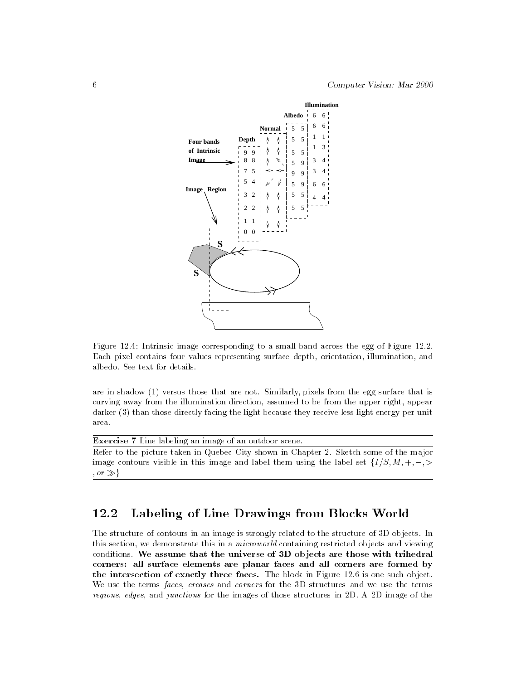

Figure 12.4: Intrinsic image corresponding to a small band across the egg of Figure 12.2. Each pixel contains four values representing surface depth, orientation, illumination, and albedo. See text for details.

are in shadow (1) versus those that are not. Similarly, pixels from the egg surface that is curving away from the illumination direction, assumed to be from the upper right, appear darker (3) than those directly facing the light because they receive less light energy per unit area.

Exercise 7 Line labeling an image of an outdoor scene.

Refer to the picture taken in Quebec City shown in Chapter 2. Sketch some of the major image contours visible in this image and label them using the label set  $\{I/S, M, +, -\}$  $, or \gg$ 

# 12.2 Labeling of Line Drawings from Blocks World

The structure of contours in an image is strongly related to the structure of 3D objects. In this section, we demonstrate this in a *microworld* containing restricted objects and viewing conditions. We assume that the universe of 3D objects are those with trihedral corners: all surface elements are planar faces and all corners are formed by the intersection of exactly three faces. The block in Figure 12.6 is one such object. We use the terms faces, creases and corners for the 3D structures and we use the terms regions, edges, and junctions for the images of those structures in 2D. A 2D image of the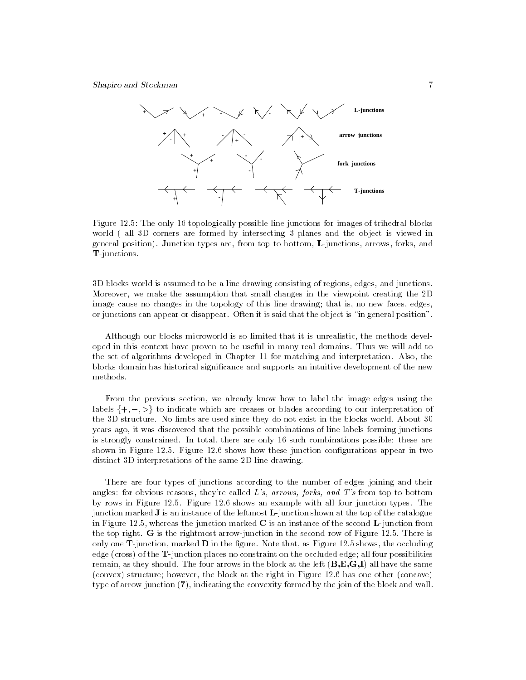

Figure 12.5: The only 16 topologically possible line junctions for images of trihedral blocks world ( all 3D corners are formed by intersecting 3 planes and the object is viewed in general position). Junction types are, from top to bottom, L-junctions, arrows, forks, and T-junctions.

3D blocks world is assumed to be a line drawing consisting of regions, edges, and junctions. Moreover, we make the assumption that small changes in the viewpoint creating the 2D image cause no changes in the topology of this line drawing; that is, no new faces, edges, or junctions can appear or disappear. Often it is said that the object is \in general position".

Although our blocks microworld is so limited that it is unrealistic, the methods developed in this context have proven to be useful in many real domains. Thus we will add to the set of algorithms developed in Chapter 11 for matching and interpretation. Also, the blocks domain has historical signicance and supports an intuitive development of the new methods.

From the previous section, we already know how to label the image edges using the labels  $\{+, -, >\}$  to indicate which are creases or blades according to our interpretation of the 3D structure. No limbs are used since they do not exist in the blocks world. About 30 years ago, it was discovered that the possible combinations of line labels forming junctions is strongly constrained. In total, there are only 16 such combinations possible: these are shown in Figure 12.5. Figure 12.6 shows how these junction configurations appear in two distinct 3D interpretations of the same 2D line drawing.

There are four types of junctions according to the number of edges joining and their angles: for obvious reasons, they're called  $L's$ , arrows, forks, and  $T's$  from top to bottom by rows in Figure 12.5. Figure 12.6 shows an example with all four junction types. The junction marked J is an instance of the leftmost L-junction shown at the top of the catalogue in Figure 12.5, whereas the junction marked  $C$  is an instance of the second  $L$ -junction from the top right. G is the rightmost arrow-junction in the second row of Figure 12.5. There is only one  $\textbf{T}$ -junction, marked **D** in the figure. Note that, as Figure 12.5 shows, the occluding edge (cross) of the T-junction places no constraint on the occluded edge; all four possibilities remain, as they should. The four arrows in the block at the left  $(B, E, G, I)$  all have the same (convex) structure; however, the block at the right in Figure 12.6 has one other (concave) type of arrow-junction (7), indicating the convexity formed by the join of the block and wall.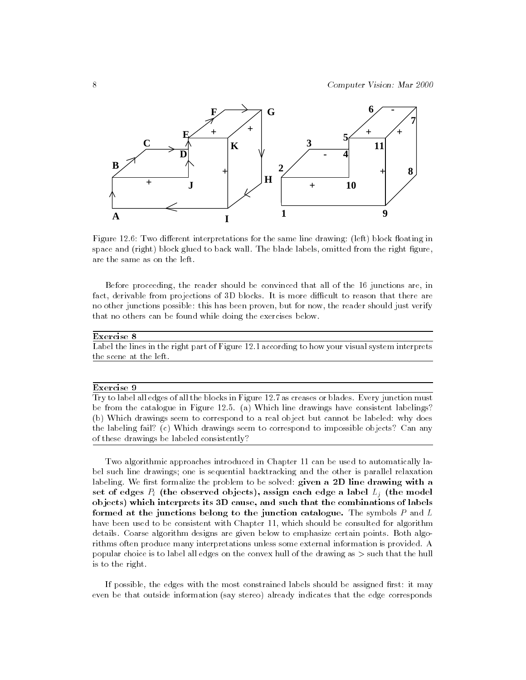

Figure 12.6: Two different interpretations for the same line drawing: (left) block floating in space and (right) block glued to back wall. The blade labels, omitted from the right figure, are the same as on the left.

Before proceeding, the reader should be convinced that all of the 16 junctions are, in fact, derivable from projections of 3D blocks. It is more difficult to reason that there are no other junctions possible: this has been proven, but for now, the reader should just verify that no others can be found while doing the exercises below.

### Exercise 8

Label the lines in the right part of Figure 12.1 according to how your visual system interprets the scene at the left.

### Exercise 9

Try to label all edges of all the blocks in Figure 12.7 as creases or blades. Every junction must be from the catalogue in Figure 12.5. (a) Which line drawings have consistent labelings? (b) Which drawings seem to correspond to a real object but cannot be labeled: why does the labeling fail? (c) Which drawings seem to correspond to impossible objects? Can any of these drawings be labeled consistently?

Two algorithmic approaches introduced in Chapter 11 can be used to automatically label such line drawings; one is sequential backtracking and the other is parallel relaxation labeling. We first formalize the problem to be solved: given a  $2D$  line drawing with a set of edges  $P_i$  (the observed objects), assign each edge a label  $L_i$  (the model ob jects) which interprets its 3D cause, and such that the combinations of labels formed at the junctions belong to the junction catalogue. The symbols  $P$  and  $L$ have been used to be consistent with Chapter 11, which should be consulted for algorithm details. Coarse algorithm designs are given below to emphasize certain points. Both algorithms often produce many interpretations unless some external information is provided. A popular choice is to label all edges on the convex hull of the drawing as  $>$  such that the hull is to the right.

If possible, the edges with the most constrained labels should be assigned first: it may even be that outside information (say stereo) already indicates that the edge corresponds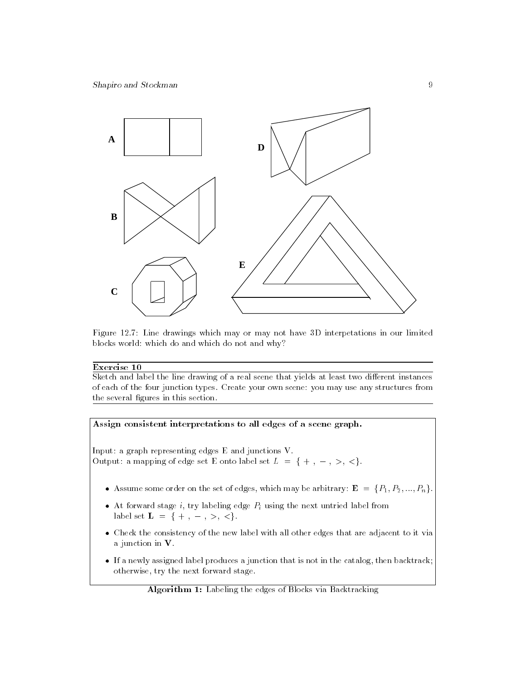

Figure 12.7: Line drawings which may or may not have 3D interpetations in our limited blocks world: which do and which do not and why?

### Exercise 10

Sketch and label the line drawing of a real scene that yields at least two different instances of each of the four junction types. Create your own scene: you may use any structures from the several figures in this section.



Algorithm 1: Labeling the edges of Blocks via Backtracking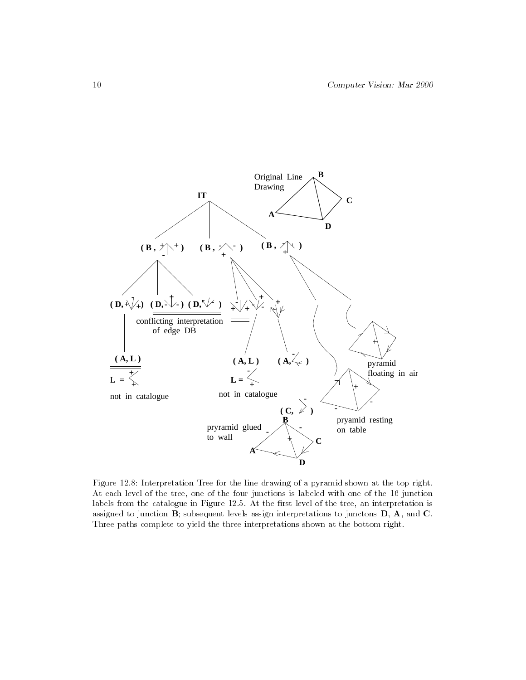

Figure 12.8: Interpretation Tree for the line drawing of a pyramid shown at the top right. At each level of the tree, one of the four junctions is labeled with one of the 16 junction labels from the catalogue in Figure 12.5. At the first level of the tree, an interpretation is assigned to junction  $\mathbf{B}$ ; subsequent levels assign interpretations to junctons  $\mathbf{D}$ ,  $\mathbf{A}$ , and  $\mathbf{C}$ . Three paths complete to yield the three interpretations shown at the bottom right.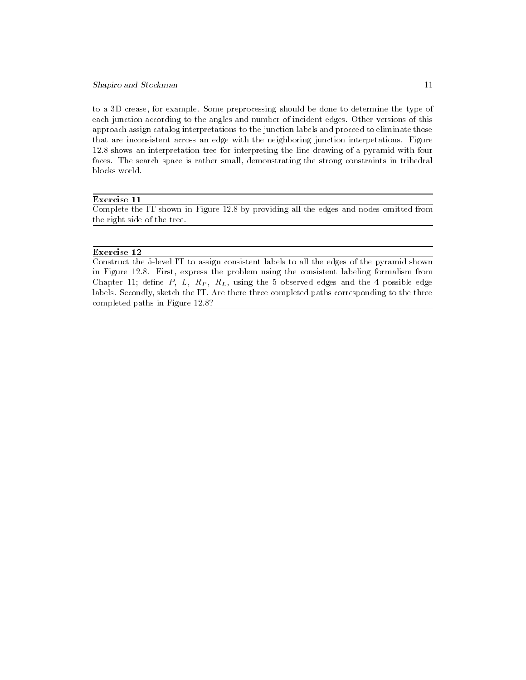to a 3D crease, for example. Some preprocessing should be done to determine the type of each junction according to the angles and number of incident edges. Other versions of this approach assign catalog interpretations to the junction labels and proceed to eliminate those that are inconsistent across an edge with the neighboring junction interpetations. Figure 12.8 shows an interpretation tree for interpreting the line drawing of a pyramid with four faces. The search space is rather small, demonstrating the strong constraints in trihedral blocks world.

### Exercise 11

Complete the IT shown in Figure 12.8 by providing all the edges and nodes omitted from the right side of the tree.

### Exercise 12

Construct the 5-level IT to assign consistent labels to all the edges of the pyramid shown in Figure 12.8. First, express the problem using the consistent labeling formalism from Chapter 11; define  $P$ ,  $L$ ,  $R_P$ ,  $R_L$ , using the 5 observed edges and the 4 possible edge labels. Secondly, sketch the IT. Are there three completed paths corresponding to the three completed paths in Figure 12.8?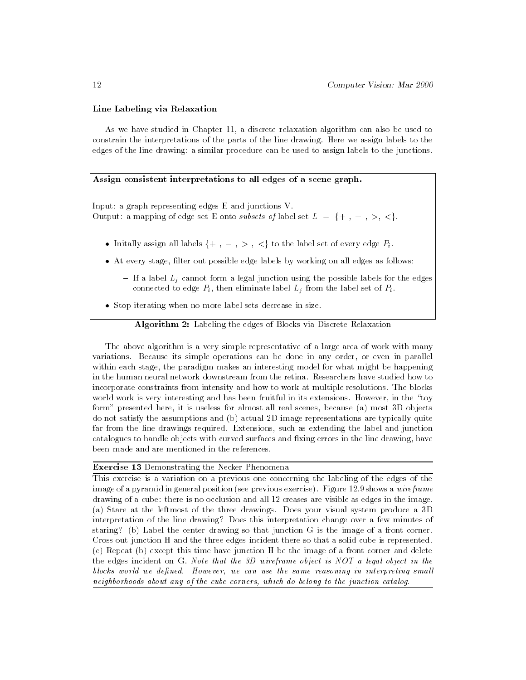### Line Labeling via Relaxation

As we have studied in Chapter 11, a discrete relaxation algorithm can also be used to constrain the interpretations of the parts of the line drawing. Here we assign labels to the edges of the line drawing: a similar procedure can be used to assign labels to the junctions.

### Assign consistent interpretations to all edges of a scene graph.

Input: a graph representing edges E and junctions V. Output: a mapping of edge set E onto subsets of label set  $L = \{+, -, >, <\}.$ 

- $\bullet$  Initally assign all labels  $\{+$  ,  $-$  ,  $>$  ,  $<$ } to the label set of every edge  $P_i$ .
- $\bullet$  At every stage, filter out possible edge labels by working on all edges as follows:
	- If a label  $L_j$  cannot form a legal junction using the possible labels for the edges connected to edge  $P_i$ , then eliminate label  $L_j$  from the label set of  $P_i$ .
- Stop iterating when no more label sets decrease in size.

Algorithm 2: Labeling the edges of Blocks via Discrete Relaxation

The above algorithm is a very simple representative of a large area of work with many variations. Because its simple operations can be done in any order, or even in parallel within each stage, the paradigm makes an interesting model for what might be happening in the human neural network downstream from the retina. Researchers have studied how to incorporate constraints from intensity and how to work at multiple resolutions. The blocks world work is very interesting and has been fruitful in its extensions. However, in the "toy form" presented here, it is useless for almost all real scenes, because (a) most 3D objects do not satisfy the assumptions and (b) actual 2D image representations are typically quite far from the line drawings required. Extensions, such as extending the label and junction catalogues to handle objects with curved surfaces and fixing errors in the line drawing, have been made and are mentioned in the references.

### Exercise 13 Demonstrating the Necker Phenomena

This exercise is a variation on a previous one concerning the labeling of the edges of the image of a pyramid in general position (see previous exercise). Figure 12.9 shows a *wireframe* drawing of a cube: there is no occlusion and all 12 creases are visible as edges in the image. (a) Stare at the leftmost of the three drawings. Does your visual system produce a 3D interpretation of the line drawing? Does this interpretation change over a few minutes of staring? (b) Label the center drawing so that junction G is the image of a front corner. Cross out junction H and the three edges incident there so that a solid cube is represented. (c) Repeat (b) except this time have junction H be the image of a front corner and delete the edges incident on G. Note that the 3D wireframe object is NOT a legal object in the blocks world we defined. However, we can use the same reasoning in interpreting small neighborhoods about any of the cube corners, which do belong to the junction catalog.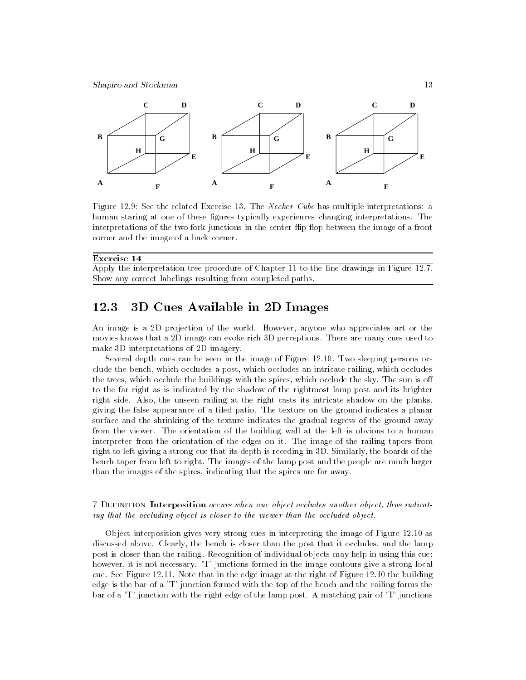

Figure 12.9: See the related Exercise 13. The Necker Cube has multiple interpretations: a human staring at one of these figures typically experiences changing interpretations. The interpretations of the two fork junctions in the center flip flop between the image of a front corner and the image of a back corner.

| Exercise 14                                                                                |
|--------------------------------------------------------------------------------------------|
| Apply the interpretation tree procedure of Chapter 11 to the line drawings in Figure 12.7. |
| Show any correct labelings resulting from completed paths.                                 |

## 12.3 3D Cues Available in 2D Images

An image is a 2D projection of the world. However, anyone who appreciates art or the movies knows that a 2D image can evoke rich 3D perceptions. There are many cues used to make 3D interpretations of 2D imagery.

Several depth cues can be seen in the image of Figure 12.10. Two sleeping persons occlude the bench, which occludes a post, which occludes an intricate railing, which occludes the trees, which occlude the buildings with the spires, which occlude the sky. The sun is o to the far right as is indicated by the shadow of the rightmost lamp post and its brighter right side. Also, the unseen railing at the right casts its intricate shadow on the planks, giving the false appearance of a tiled patio. The texture on the ground indicates a planar surface and the shrinking of the texture indicates the gradual regress of the ground away from the viewer. The orientation of the building wall at the left is obvious to a human interpreter from the orientation of the edges on it. The image of the railing tapers from right to left giving a strong cue that its depth is receding in 3D. Similarly, the boards of the bench taper from left to right. The images of the lamp post and the people are much larger than the images of the spires, indicating that the spires are far away.

### 7 Definition Interposition occurs when one object occludes another object, thus indicating that the occluding object is closer to the viewer than the occluded object.

Object interposition gives very strong cues in interpreting the image of Figure 12.10 as discussed above. Clearly, the bench is closer than the post that it occludes, and the lamp post is closer than the railing. Recognition of individual objects may help in using this cue; however, it is not necessary. 'T' junctions formed in the image contours give a strong local cue. See Figure 12.11. Note that in the edge image at the right of Figure 12.10 the building edge is the bar of a 'T' junction formed with the top of the bench and the railing forms the bar of a 'T' junction with the right edge of the lamp post. A matching pair of 'T' junctions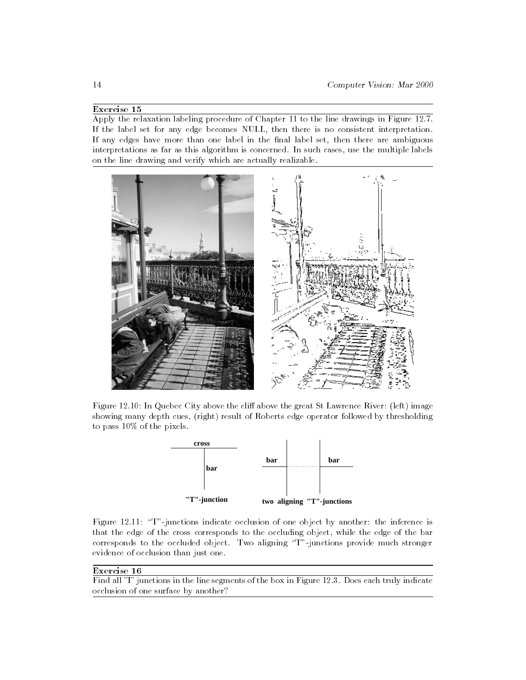### Exercise 15

Apply the relaxation labeling procedure of Chapter 11 to the line drawings in Figure 12.7. If the label set for any edge becomes NULL, then there is no consistent interpretation. If any edges have more than one label in the final label set, then there are ambiguous interpretations as far as this algorithm is concerned. In such cases, use the multiple labels on the line drawing and verify which are actually realizable.



Figure 12.10: In Quebec City above the cliff above the great St Lawrence River: (left) image showing many depth cues, (right) result of Roberts edge operator followed by thresholding to pass 10% of the pixels.



Figure 12.11: "T"-junctions indicate occlusion of one object by another: the inference is that the edge of the cross corresponds to the occluding object, while the edge of the bar corresponds to the occluded object. Two aligning \T"-junctions provide much stronger evidence of occlusion than just one.

### Exercise 16

Find all 'T' junctions in the line segments of the box in Figure 12.3. Does each truly indicate occlusion of one surface by another?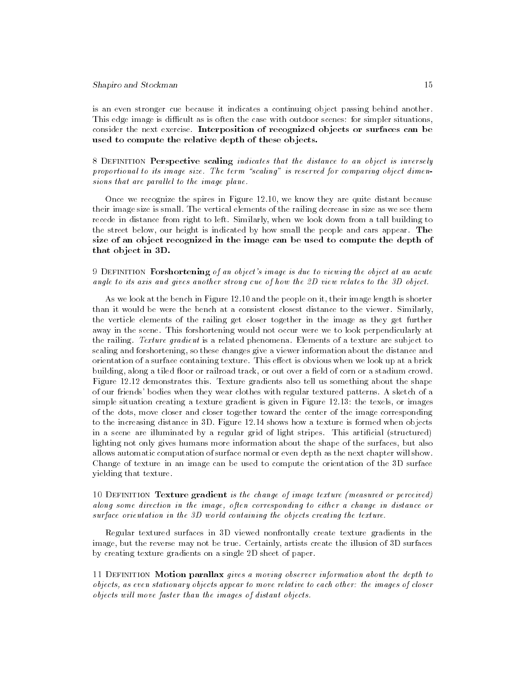is an even stronger cue because it indicates a continuing object passing behind another. This edge image is difficult as is often the case with outdoor scenes: for simpler situations, consider the next exercise. Interposition of recognized ob jects or surfaces can be used to compute the relative depth of these objects.

8 DEFINITION Perspective scaling indicates that the distance to an object is inversely proportional to its image size. The term "scaling" is reserved for comparing object dimensions that are parallel to the image plane.

Once we recognize the spires in Figure 12.10, we know they are quite distant because their image size is small. The vertical elements of the railing decrease in size as we see them recede in distance from right to left. Similarly, when we look down from a tall building to the street below, our height is indicated by how small the people and cars appear. The size of an ob ject recognized in the image can be used to compute the depth of that ob ject in 3D.

### 9 DEFINITION Forshortening of an object's image is due to viewing the object at an acute angle to its axis and gives another strong cue of how the 2D view relates to the 3D object.

As we look at the bench in Figure 12.10 and the people on it, their image length is shorter than it would be were the bench at a consistent closest distance to the viewer. Similarly, the verticle elements of the railing get closer together in the image as they get further away in the scene. This forshortening would not occur were we to look perpendicularly at the railing. Texture gradient is a related phenomena. Elements of a texture are subject to scaling and forshortening, so these changes give a viewer information about the distance and orientation of a surface containing texture. This effect is obvious when we look up at a brick building, along a tiled floor or railroad track, or out over a field of corn or a stadium crowd. Figure 12.12 demonstrates this. Texture gradients also tell us something about the shape of our friends' bodies when they wear clothes with regular textured patterns. A sketch of a simple situation creating a texture gradient is given in Figure 12.13: the texels, or images of the dots, move closer and closer together toward the center of the image corresponding to the increasing distance in 3D. Figure 12.14 shows how a texture is formed when objects in a scene are illuminated by a regular grid of light stripes. This articial (structured) lighting not only gives humans more information about the shape of the surfaces, but also allows automatic computation of surface normal or even depth as the next chapter will show. Change of texture in an image can be used to compute the orientation of the 3D surface yielding that texture.

### 10 DEFINITION Texture gradient is the change of image texture (measured or perceived) along some direction in the image, often corresponding to either a change in distance or surface orientation in the 3D world containing the objects creating the texture.

Regular textured surfaces in 3D viewed nonfrontally create texture gradients in the image, but the reverse may not be true. Certainly, artists create the illusion of 3D surfaces by creating texture gradients on a single 2D sheet of paper.

11 DEFINITION Motion parallax gives a moving observer information about the depth to objects, as even stationary objects appear to move relative to each other: the images of closer objects will move faster than the images of distant objects.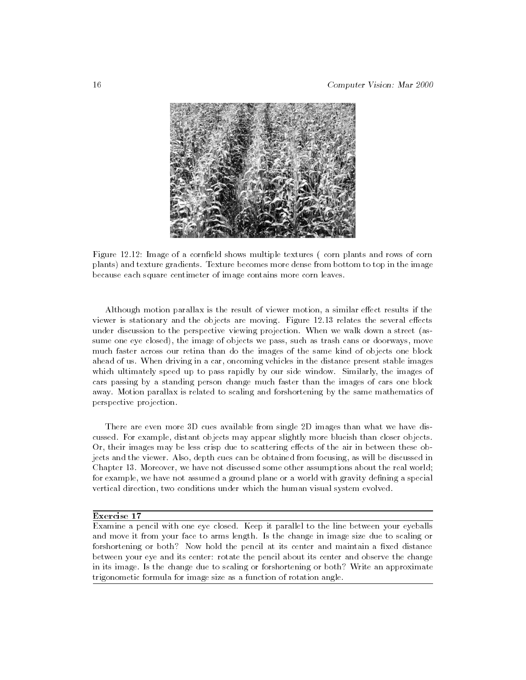

Figure 12.12: Image of a cornfield shows multiple textures (corn plants and rows of corn plants) and texture gradients. Texture becomes more dense from bottom to top in the image because each square centimeter of image contains more corn leaves.

Although motion parallax is the result of viewer motion, a similar effect results if the viewer is stationary and the objects are moving. Figure 12.13 relates the several effects under discussion to the perspective viewing projection. When we walk down a street (assume one eye closed), the image of objects we pass, such as trash cans or doorways, move much faster across our retina than do the images of the same kind of objects one block ahead of us. When driving in a car, oncoming vehicles in the distance present stable images which ultimately speed up to pass rapidly by our side window. Similarly, the images of cars passing by a standing person change much faster than the images of cars one block away. Motion parallax is related to scaling and forshortening by the same mathematics of perspective projection.

There are even more 3D cues available from single 2D images than what we have discussed. For example, distant objects may appear slightly more blueish than closer objects. Or, their images may be less crisp due to scattering effects of the air in between these objects and the viewer. Also, depth cues can be obtained from focusing, as will be discussed in Chapter 13. Moreover, we have not discussed some other assumptions about the real world; for example, we have not assumed a ground plane or a world with gravity defining a special vertical direction, two conditions under which the human visual system evolved.

### Exercise 17

Examine a pencil with one eye closed. Keep it parallel to the line between your eyeballs and move it from your face to arms length. Is the change in image size due to scaling or forshortening or both? Now hold the pencil at its center and maintain a fixed distance between your eye and its center: rotate the pencil about its center and observe the change in its image. Is the change due to scaling or forshortening or both? Write an approximate trigonometic formula for image size as a function of rotation angle.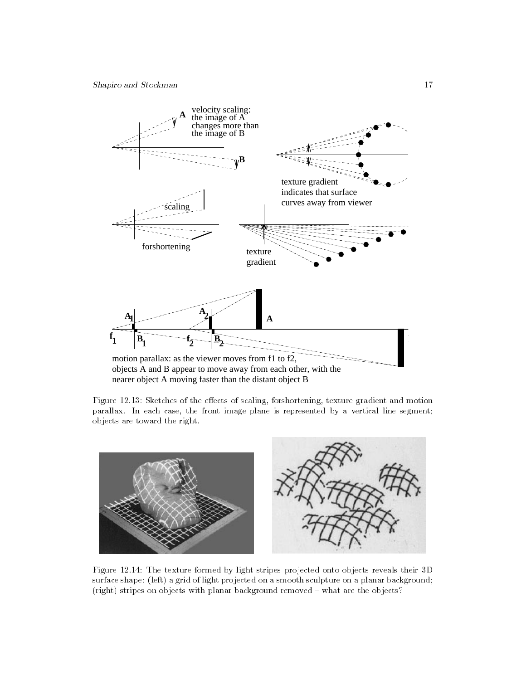

Figure 12.13: Sketches of the effects of scaling, forshortening, texture gradient and motion parallax. In each case, the front image plane is represented by a vertical line segment; objects are toward the right.



Figure 12.14: The texture formed by light stripes projected onto objects reveals their 3D surface shape: (left) a grid of light projected on a smooth sculpture on a planar background; (right) stripes on objects with planar background removed - what are the objects?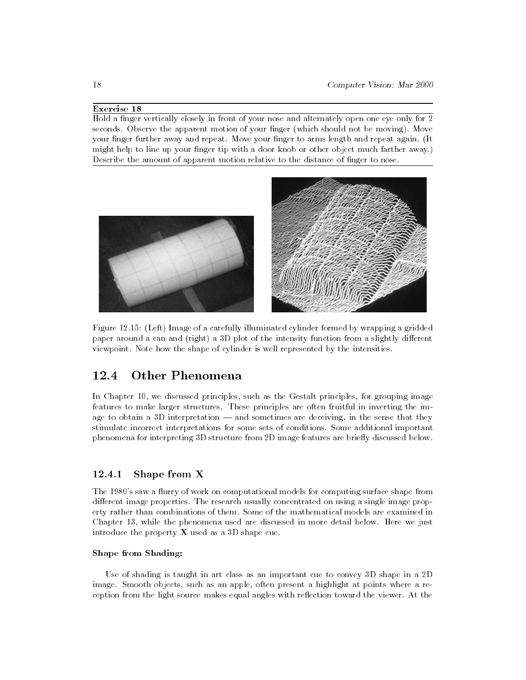### Exercise 18

Hold a finger vertically closely in front of your nose and alternately open one eye only for 2 seconds. Observe the apparent motion of your finger (which should not be moving). Move your finger further away and repeat. Move your finger to arms length and repeat again. (It might help to line up your finger tip with a door knob or other object much farther away.) Describe the amount of apparent motion relative to the distance of finger to nose.



Figure 12.15: (Left) Image of a carefully illuminated cylinder formed by wrapping a gridded paper around a can and (right) a 3D plot of the intensity function from a slightly different viewpoint. Note how the shape of cylinder is well represented by the intensities.

#### **Other Phenomena** 12.4

In Chapter 10, we discussed principles, such as the Gestalt principles, for grouping image features to make larger structures. These principles are often fruitful in inverting the image to obtain a  $3D$  interpretation  $-$  and sometimes are deceiving, in the sense that they stimulate incorrect interpretations for some sets of conditions. Some additional important phenomena for interpreting 3D structure from 2D image features are briefly discussed below.

#### $12.4.1$ Shape from X

The 1980's saw a flurry of work on computational models for computing surface shape from different image properties. The research usually concentrated on using a single image property rather than combinations of them. Some of the mathematical models are examined in Chapter 13, while the phenomena used are discussed in more detail below. Here we just introduce the property  $X$  used as a 3D shape cue.

### Shape from Shading:

Use of shading is taught in art class as an important cue to convey 3D shape in a 2D image. Smooth objects, such as an apple, often present a highlight at points where a reception from the light source makes equal angles with reflection toward the viewer. At the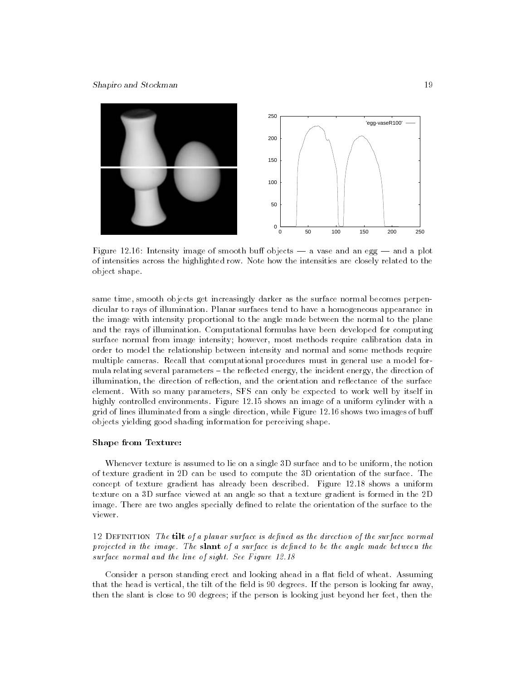

Figure 12.16: Intensity image of smooth buff objects  $-$  a vase and an egg  $-$  and a plot of intensities across the highlighted row. Note how the intensities are closely related to the object shape.

same time, smooth objects get increasingly darker as the surface normal becomes perpendicular to rays of illumination. Planar surfaces tend to have a homogeneous appearance in the image with intensity proportional to the angle made between the normal to the plane and the rays of illumination. Computational formulas have been developed for computing surface normal from image intensity; however, most methods require calibration data in order to model the relationship between intensity and normal and some methods require multiple cameras. Recall that computational procedures must in general use a model for mula relating several parameters – the reflected energy, the incident energy, the direction of illumination, the direction of reflection, and the orientation and reflectance of the surface element. With so many parameters, SFS can only be expected to work well by itself in highly controlled environments. Figure 12.15 shows an image of a uniform cylinder with a grid of lines illuminated from a single direction, while Figure 12.16 shows two images of bu objects yielding good shading information for perceiving shape.

### Shape from Texture:

Whenever texture is assumed to lie on a single 3D surface and to be uniform, the notion of texture gradient in 2D can be used to compute the 3D orientation of the surface. The concept of texture gradient has already been described. Figure 12.18 shows a uniform texture on a 3D surface viewed at an angle so that a texture gradient is formed in the 2D image. There are two angles specially defined to relate the orientation of the surface to the viewer.

12 DEFINITION The tilt of a planar surface is defined as the direction of the surface normal projected in the image. The slant of a surface is defined to be the angle made between the surface normal and the line of sight. See Figure 12.18

Consider a person standing erect and looking ahead in a flat field of wheat. Assuming that the head is vertical, the tilt of the field is 90 degrees. If the person is looking far away, then the slant is close to 90 degrees; if the person is looking just beyond her feet, then the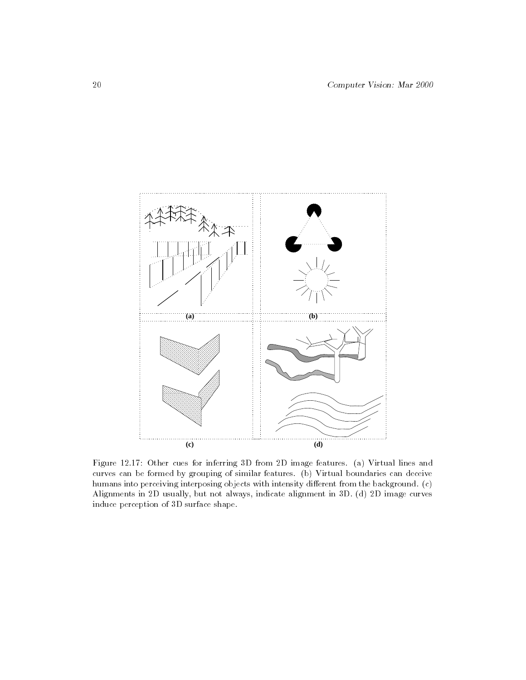

Figure 12.17: Other cues for inferring 3D from 2D image features. (a) Virtual lines and curves can be formed by grouping of similar features. (b) Virtual boundaries can deceive humans into perceiving interposing objects with intensity different from the background. (c) Alignments in 2D usually, but not always, indicate alignment in 3D. (d) 2D image curves induce perception of 3D surface shape.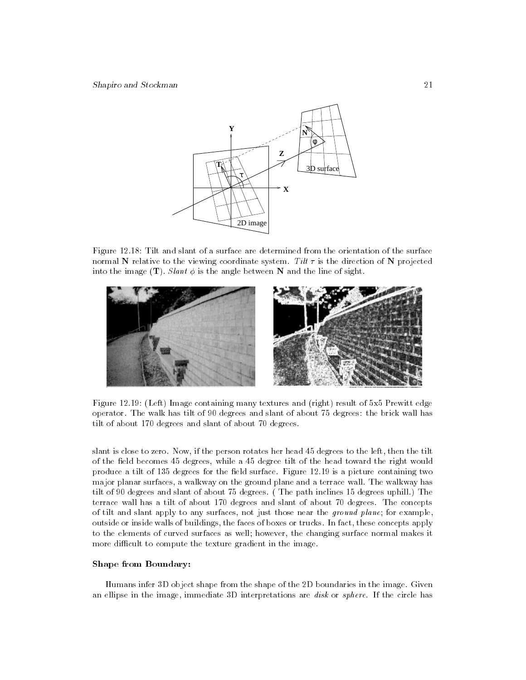

Figure 12.18: Tilt and slant of a surface are determined from the orientation of the surface normal N relative to the viewing coordinate system. Tilt  $\tau$  is the direction of N projected into the image  $(T)$ . Slant  $\phi$  is the angle between N and the line of sight.



Figure 12.19: (Left) Image containing many textures and (right) result of 5x5 Prewitt edge operator. The walk has tilt of 90 degrees and slant of about 75 degrees: the brick wall has tilt of about 170 degrees and slant of about 70 degrees.

slant is close to zero. Now, if the person rotates her head 45 degrees to the left, then the tilt of the field becomes 45 degrees, while a 45 degree tilt of the head toward the right would produce a tilt of 135 degrees for the field surface. Figure 12.19 is a picture containing two major planar surfaces, a walkway on the ground plane and a terrace wall. The walkway has tilt of 90 degrees and slant of about 75 degrees. ( The path inclines 15 degrees uphill.) The terrace wall has a tilt of about 170 degrees and slant of about 70 degrees. The concepts of tilt and slant apply to any surfaces, not just those near the ground plane; for example, outside or inside walls of buildings, the faces of boxes or trucks. In fact, these concepts apply to the elements of curved surfaces as well; however, the changing surface normal makes it more difficult to compute the texture gradient in the image.

### Shape from Boundary:

Humans infer 3D object shape from the shape of the 2D boundaries in the image. Given an ellipse in the image, immediate 3D interpretations are *disk* or *sphere*. If the circle has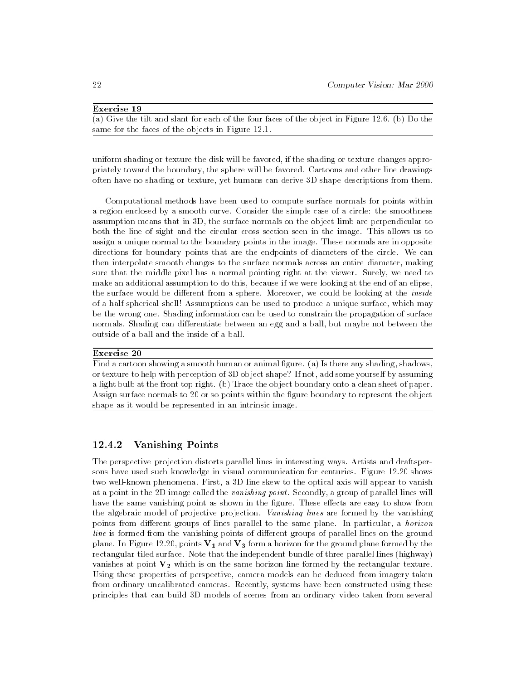### Exercise 19

 $(a)$  Give the tilt and slant for each of the four faces of the object in Figure 12.6. (b) Do the same for the faces of the objects in Figure 12.1.

uniform shading or texture the disk will be favored, if the shading or texture changes appropriately toward the boundary, the sphere will be favored. Cartoons and other line drawings often have no shading or texture, yet humans can derive 3D shape descriptions from them.

Computational methods have been used to compute surface normals for points within a region enclosed by a smooth curve. Consider the simple case of a circle: the smoothness assumption means that in 3D, the surface normals on the object limb are perpendicular to both the line of sight and the circular cross section seen in the image. This allows us to assign a unique normal to the boundary points in the image. These normals are in opposite directions for boundary points that are the endpoints of diameters of the circle. We can then interpolate smooth changes to the surface normals across an entire diameter, making sure that the middle pixel has a normal pointing right at the viewer. Surely, we need to make an additional assumption to do this, because if we were looking at the end of an elipse, the surface would be different from a sphere. Moreover, we could be looking at the *inside* of a half spherical shell! Assumptions can be used to produce a unique surface, which may be the wrong one. Shading information can be used to constrain the propagation of surface normals. Shading can differentiate between an egg and a ball, but maybe not between the outside of a ball and the inside of a ball.

### Exercise 20

Find a cartoon showing a smooth human or animal figure. (a) Is there any shading, shadows, or texture to help with perception of 3D object shape? If not, add some yourself by assuming a light bulb at the front top right. (b) Trace the object boundary onto a clean sheet of paper. Assign surface normals to 20 or so points within the figure boundary to represent the object shape as it would be represented in an intrinsic image.

### 12.4.2 Vanishing Points

The perspective projection distorts parallel lines in interesting ways. Artists and draftspersons have used such knowledge in visual communication for centuries. Figure 12.20 shows two well-known phenomena. First, a 3D line skew to the optical axis will appear to vanish at a point in the 2D image called the vanishing point. Secondly, a group of parallel lines will have the same vanishing point as shown in the figure. These effects are easy to show from the algebraic model of projective projection. Vanishing lines are formed by the vanishing points from different groups of lines parallel to the same plane. In particular, a *horizon*  $line$  is formed from the vanishing points of different groups of parallel lines on the ground plane. In Figure 12.20, points  $\mathbf{V_{1}}$  and  $\mathbf{V_{3}}$  form a horizon for the ground plane formed by the rectangular tiled surface. Note that the independent bundle of three parallel lines (highway) vanishes at point  $V_2$  which is on the same horizon line formed by the rectangular texture. Using these properties of perspective, camera models can be deduced from imagery taken from ordinary uncalibrated cameras. Recently, systems have been constructed using these principles that can build 3D models of scenes from an ordinary video taken from several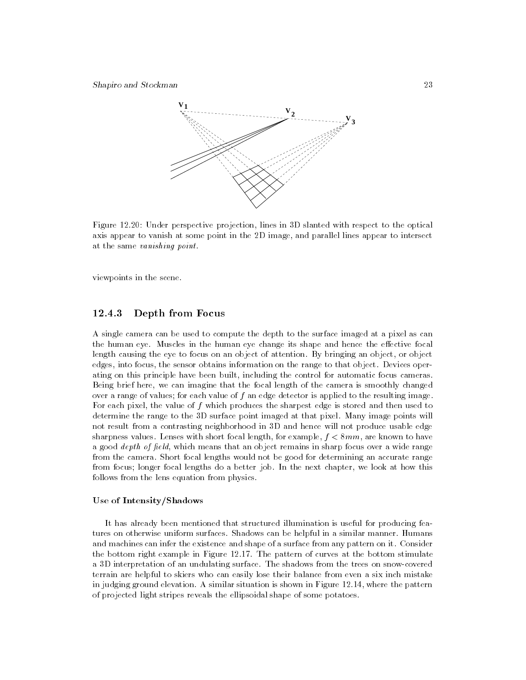

Figure 12.20: Under perspective projection, lines in 3D slanted with respect to the optical axis appear to vanish at some point in the 2D image, and parallel lines appear to intersect at the same vanishing point.

viewpoints in the scene.

### 12.4.3 Depth from Focus

A single camera can be used to compute the depth to the surface imaged at a pixel as can the human eye. Muscles in the human eye change its shape and hence the effective focal length causing the eye to focus on an object of attention. By bringing an object, or object edges, into focus, the sensor obtains information on the range to that object. Devices operating on this principle have been built, including the control for automatic focus cameras. Being brief here, we can imagine that the focal length of the camera is smoothly changed over a range of values; for each value of  $f$  an edge detector is applied to the resulting image. For each pixel, the value of  $f$  which produces the sharpest edge is stored and then used to determine the range to the 3D surface point imaged at that pixel. Many image points will not result from a contrasting neighborhood in 3D and hence will not produce usable edge sharpness values. Lenses with short focal length, for example,  $f < 8mm$ , are known to have a good *depth of field*, which means that an object remains in sharp focus over a wide range from the camera. Short focal lengths would not be good for determining an accurate range from focus; longer focal lengths do a better job. In the next chapter, we look at how this follows from the lens equation from physics.

### Use of Intensity/Shadows

It has already been mentioned that structured illumination is useful for producing features on otherwise uniform surfaces. Shadows can be helpful in a similar manner. Humans and machines can infer the existence and shape of a surface from any pattern on it. Consider the bottom right example in Figure 12.17. The pattern of curves at the bottom stimulate a 3D interpretation of an undulating surface. The shadows from the trees on snow-covered terrain are helpful to skiers who can easily lose their balance from even a six inch mistake in judging ground elevation. A similar situation is shown in Figure 12.14, where the pattern of projected light stripes reveals the ellipsoidal shape of some potatoes.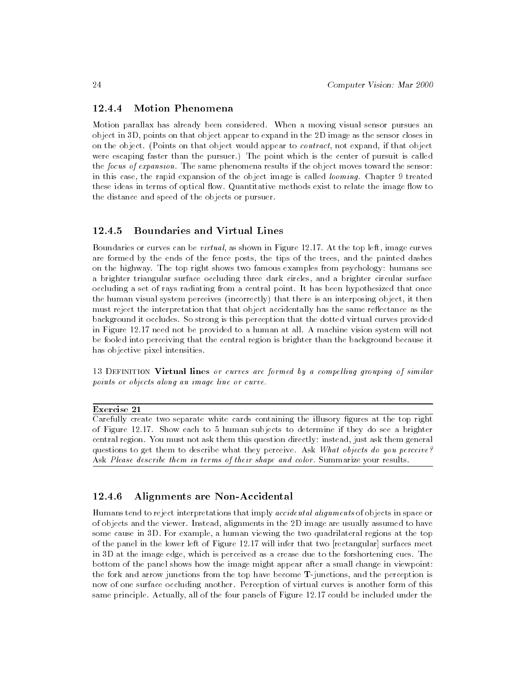### 12.4.4 Motion Phenomena

Motion parallax has already been considered. When a moving visual sensor pursues an object in 3D, points on that object appear to expand in the 2D image as the sensor closes in on the object. (Points on that object would appear to contract, not expand, if that object were escaping faster than the pursuer.) The point which is the center of pursuit is called the focus of expansion. The same phenomena results if the object moves toward the sensor: in this case, the rapid expansion of the object image is called looming. Chapter 9 treated these ideas in terms of optical flow. Quantitative methods exist to relate the image flow to the distance and speed of the objects or pursuer.

### 12.4.5 Boundaries and Virtual Lines

Boundaries or curves can be virtual, as shown in Figure 12.17. At the top left, image curves are formed by the ends of the fence posts, the tips of the trees, and the painted dashes on the highway. The top right shows two famous examples from psychology: humans see a brighter triangular surface occluding three dark circles, and a brighter circular surface occluding a set of rays radiating from a central point. It has been hypothesized that once the human visual system perceives (incorrectly) that there is an interposing object, it then must reject the interpretation that that object accidentally has the same reflectance as the background it occludes. So strong is this perception that the dotted virtual curves provided in Figure 12.17 need not be provided to a human at all. A machine vision system will not be fooled into perceiving that the central region is brighter than the background because it has objective pixel intensities.

13 DEFINITION Virtual lines or curves are formed by a compelling grouping of similar points or objects along an image line or curve.

Exercise 21

Carefully create two separate white cards containing the illusory gures at the top right of Figure 12.17. Show each to 5 human subjects to determine if they do see a brighter central region. You must not ask them this question directly: instead, just ask them general questions to get them to describe what they perceive. Ask What objects do you perceive? Ask Please describe them in terms of their shape and color. Summarize your results.

#### 12.4.6 Alignments are Non-Accidental

Humans tend to reject interpretations that imply accidental alignments of objects in space or of objects and the viewer. Instead, alignments in the 2D image are usually assumed to have some cause in 3D. For example, a human viewing the two quadrilateral regions at the top of the panel in the lower left of Figure 12.17 will infer that two [rectangular] surfaces meet in 3D at the image edge, which is perceived as a crease due to the forshortening cues. The bottom of the panel shows how the image might appear after a small change in viewpoint: the fork and arrow junctions from the top have become T-junctions, and the perception is now of one surface occluding another. Perception of virtual curves is another form of this same principle. Actually, all of the four panels of Figure 12.17 could be included under the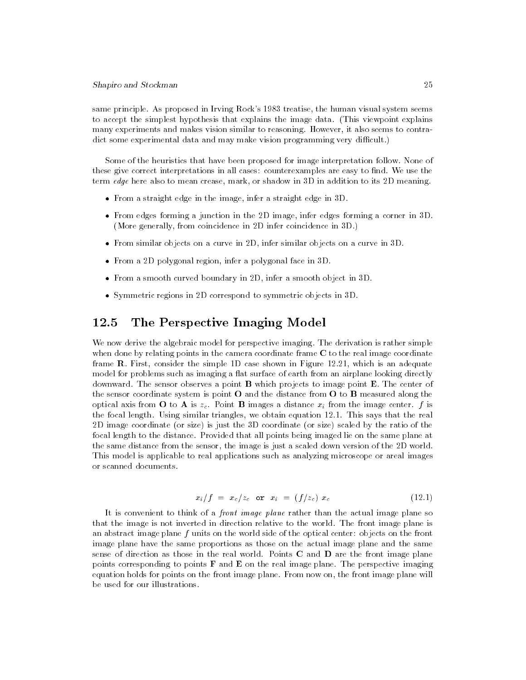same principle. As proposed in Irving Rock's 1983 treatise, the human visual system seems to accept the simplest hypothesis that explains the image data. (This viewpoint explains many experiments and makes vision similar to reasoning. However, it also seems to contradict some experimental data and may make vision programming very difficult.)

Some of the heuristics that have been proposed for image interpretation follow. None of these give correct interpretations in all cases: counterexamples are easy to find. We use the term edge here also to mean crease, mark, or shadow in 3D in addition to its 2D meaning.

- $\bullet\,$  from a straight edge in the image, infer a straight edge in 3D.  $\,$
- From edges forming a junction in the 2D image, infer edges forming a corner in 3D. (More generally, from coincidence in 2D infer coincidence in 3D.)
- $\bullet$  from similar objects on a curve in 2D, infer similar objects on a curve in 3D.
- $\bullet\,$  from a 2D polygonal region, infer a polygonal face in 3D.
- $\bullet\,$  from a smooth curved boundary in 2D, infer a smooth object in 3D.  $\,$
- $\bullet$  Symmetric regions in 2D correspond to symmetric objects in 3D.

## 12.5 The Perspective Imaging Model

We now derive the algebraic model for perspective imaging. The derivation is rather simple when done by relating points in the camera coordinate frame C to the real image coordinate frame R. First, consider the simple 1D case shown in Figure 12.21, which is an adequate model for problems such as imaging a flat surface of earth from an airplane looking directly downward. The sensor observes a point  $\bf{B}$  which projects to image point  $\bf{E}$ . The center of the sensor coordinate system is point  $O$  and the distance from  $O$  to  $B$  measured along the optical axis from O to A is  $z_c$ . Point B images a distance  $x_i$  from the image center. f is the focal length. Using similar triangles, we obtain equation 12.1. This says that the real 2D image coordinate (or size) is just the 3D coordinate (or size) scaled by the ratio of the focal length to the distance. Provided that all points being imaged lie on the same plane at the same distance from the sensor, the image is just a scaled down version of the 2D world. This model is applicable to real applications such as analyzing microscope or areal images or scanned documents.

$$
x_i/f = x_c/z_c \text{ or } x_i = (f/z_c) x_c \tag{12.1}
$$

It is convenient to think of a *front image plane* rather than the actual image plane so that the image is not inverted in direction relative to the world. The front image plane is an abstract image plane  $f$  units on the world side of the optical center: objects on the front image plane have the same proportions as those on the actual image plane and the same sense of direction as those in the real world. Points C and D are the front image plane points corresponding to points  $\bf{F}$  and  $\bf{E}$  on the real image plane. The perspective imaging equation holds for points on the front image plane. From now on, the front image plane will be used for our illustrations.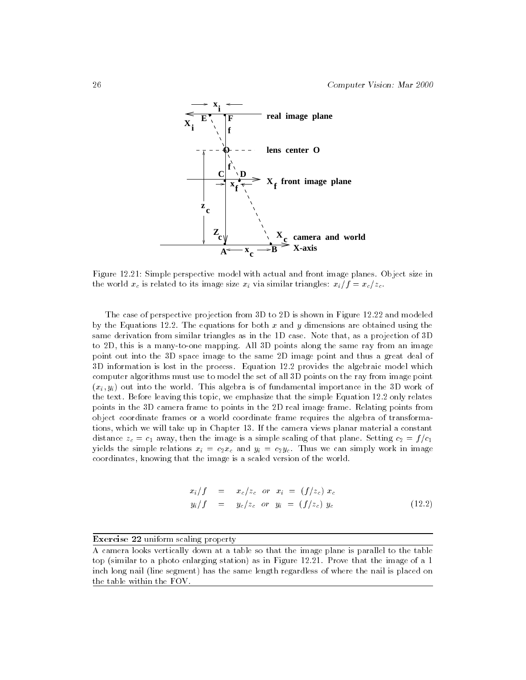

Figure 12.21: Simple perspective model with actual and front image planes. Object size in the world  $x_c$  is related to its image size  $x_i$  via similar triangles:  $x_i/f = x_c/z_c$ .

The case of perspective projection from 3D to 2D is shown in Figure 12.22 and modeled by the Equations 12.2. The equations for both x and y dimensions are obtained using the same derivation from similar triangles as in the 1D case. Note that, as a projection of 3D to 2D, this is a many-to-one mapping. All 3D points along the same ray from an image point out into the 3D space image to the same 2D image point and thus a great deal of 3D information is lost in the process. Equation 12.2 provides the algebraic model which computer algorithms must use to model the set of all 3D points on the ray from image point  $(x_i, y_i)$  out into the world. This algebra is of fundamental importance in the 3D work of the text. Before leaving this topic, we emphasize that the simple Equation 12.2 only relates points in the 3D camera frame to points in the 2D real image frame. Relating points from object coordinate frames or a world coordinate frame requires the algebra of transformations, which we will take up in Chapter 13. If the camera views planar material a constant distance  $z_c = c_1$  away, then the image is a simple scaling of that plane. Setting  $c_2 = f/c_1$ yields the simple relations  $x_i = c_2x_c$  and  $y_i = c_2y_c$ . Thus we can simply work in image coordinates, knowing that the image is a scaled version of the world.

$$
x_i/f = x_c/z_c \text{ or } x_i = (f/z_c) x_c
$$
  

$$
y_i/f = y_c/z_c \text{ or } y_i = (f/z_c) y_c
$$
 (12.2)

### Exercise 22 uniform scaling property

A camera looks vertically down at a table so that the image plane is parallel to the table top (similar to a photo enlarging station) as in Figure 12.21. Prove that the image of a 1 inch long nail (line segment) has the same length regardless of where the nail is placed on the table within the FOV.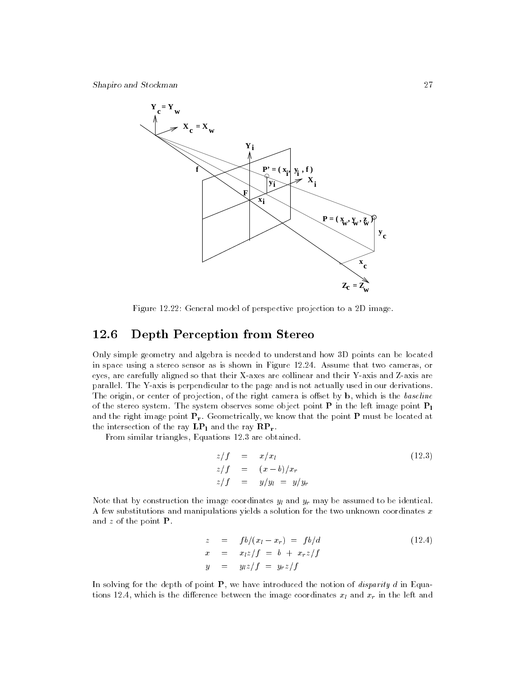

Figure 12.22: General model of perspective projection to a 2D image.

# 12.6 Depth Perception from Stereo

Only simple geometry and algebra is needed to understand how 3D points can be located in space using a stereo sensor as is shown in Figure 12.24. Assume that two cameras, or eyes, are carefully aligned so that their X-axes are collinear and their Y-axis and Z-axis are parallel. The Y-axis is perpendicular to the page and is not actually used in our derivations. The origin, or center of projection, of the right camera is offset by  $\mathbf{b}$ , which is the baseline of the stereo system. The system observes some object point  $P$  in the left image point  $P_1$ and the right image point  $P_r$ . Geometrically, we know that the point  $P$  must be located at the intersection of the ray  $\mathbf{LP}_1$  and the ray  $\mathbf{RP}_r$ .

From similar triangles, Equations 12.3 are obtained.

$$
z/f = x/x1
$$
  
\n
$$
z/f = (x - b)/xr
$$
  
\n
$$
z/f = y/y1 = y/yr
$$
  
\n(12.3)

Note that by construction the image coordinates  $y_l$  and  $y_r$  may be assumed to be identical. A few substitutions and manipulations yields a solution for the two unknown coordinates  $x$ and  $z$  of the point  $P$ .

$$
z = fb/(x_1 - x_r) = fb/d
$$
  
\n
$$
x = x_1z/f = b + x_rz/f
$$
  
\n
$$
y = y_1z/f = y_rz/f
$$
  
\n(12.4)

In solving for the depth of point  $P$ , we have introduced the notion of *disparity d* in Equations 12.4, which is the difference between the image coordinates  $x_l$  and  $x_r$  in the left and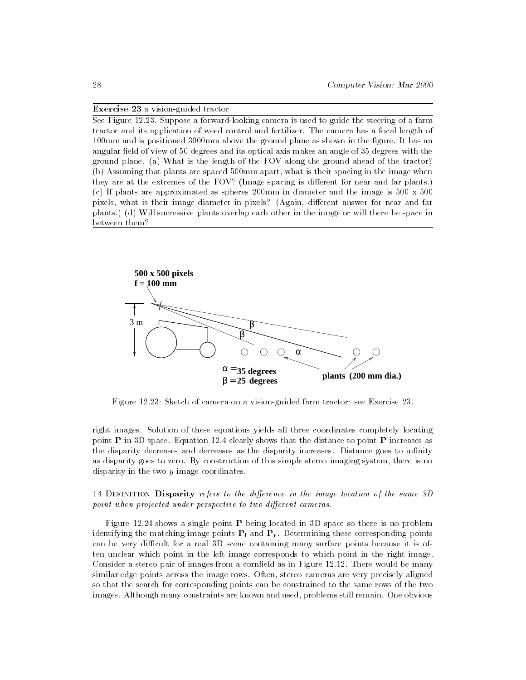### Exercise 23 a vision-guided tractor

See Figure 12.23. Suppose a forward-looking camera is used to guide the steering of a farm tractor and its application of weed control and fertilizer. The camera has a focal length of 100mm and is positioned 3000mm above the ground plane as shown in the figure. It has an angular field of view of 50 degrees and its optical axis makes an angle of 35 degrees with the ground plane. (a) What is the length of the FOV along the ground ahead of the tractor? (b) Assuming that plants are spaced 500mm apart, what is their spacing in the image when they are at the extremes of the FOV? (Image spacing is different for near and far plants.) (c) If plants are approximated as spheres  $200 \text{mm}$  in diameter and the image is  $500 \times 500$ pixels, what is their image diameter in pixels? (Again, different answer for near and far plants.) (d) Will successive plants overlap each other in the image or will there be space in between them?



Figure 12.23: Sketch of camera on a vision-guided farm tractor: see Exercise 23.

right images. Solution of these equations yields all three coordinates completely locating point **P** in 3D space. Equation 12.4 clearly shows that the distance to point **P** increases as the disparity decreases and decreases as the disparity increases. Distance goes to infinity as disparity goes to zero. By construction of this simple stereo imaging system, there is no disparity in the two  $y$  image coordinates.

### 14 DEFINITION Disparity refers to the difference in the image location of the same  $3D$ point when projected under perspective to two different cameras.

Figure 12.24 shows a single point P being located in 3D space so there is no problem identifying the matching image points  $P_1$  and  $P_r$ . Determining these corresponding points can be very difficult for a real 3D scene containing many surface points because it is often unclear which point in the left image corresponds to which point in the right image. Consider a stereo pair of images from a cornfield as in Figure  $12.12$ . There would be many similar edge points across the image rows. Often, stereo cameras are very precisely aligned so that the search for corresponding points can be constrained to the same rows of the two images. Although many constraints are known and used, problems still remain. One obvious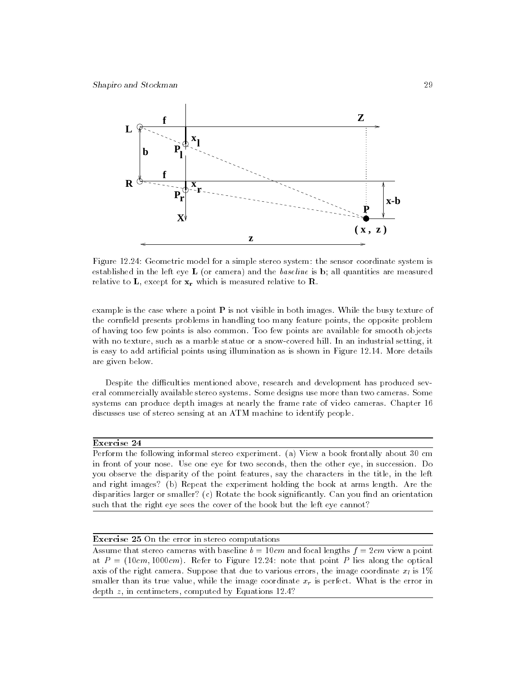

Figure 12.24: Geometric model for a simple stereo system: the sensor coordinate system is established in the left eye **L** (or camera) and the *baseline* is **b**; all quantities are measured relative to  $\mathbf{L}$ , except for  $\mathbf{x}_r$  which is measured relative to  $\mathbf{R}$ .

example is the case where a point  $P$  is not visible in both images. While the busy texture of the cornfield presents problems in handling too many feature points, the opposite problem of having too few points is also common. Too few points are available for smooth objects with no texture, such as a marble statue or a snow-covered hill. In an industrial setting, it is easy to add articial points using illumination as is shown in Figure 12.14. More details are given below.

Despite the difficulties mentioned above, research and development has produced several commercially available stereo systems. Some designs use more than two cameras. Some systems can produce depth images at nearly the frame rate of video cameras. Chapter 16 discusses use of stereo sensing at an ATM machine to identify people.

### Exercise 24

Perform the following informal stereo experiment. (a) View a book frontally about 30 cm in front of your nose. Use one eye for two seconds, then the other eye, in succession. Do you observe the disparity of the point features, say the characters in the title, in the left and right images? (b) Repeat the experiment holding the book at arms length. Are the disparities larger or smaller?  $(c)$  Rotate the book significantly. Can you find an orientation such that the right eye sees the cover of the book but the left eye cannot?

### Exercise 25 On the error in stereo computations

Assume that stereo cameras with baseline  $b = 10cm$  and focal lengths  $f = 2cm$  view a point at  $P = (10cm, 1000cm)$ . Refer to Figure 12.24: note that point P lies along the optical axis of the right camera. Suppose that due to various errors, the image coordinate  $x_l$  is 1% smaller than its true value, while the image coordinate  $x_r$  is perfect. What is the error in depth z, in centimeters, computed by Equations 12.4?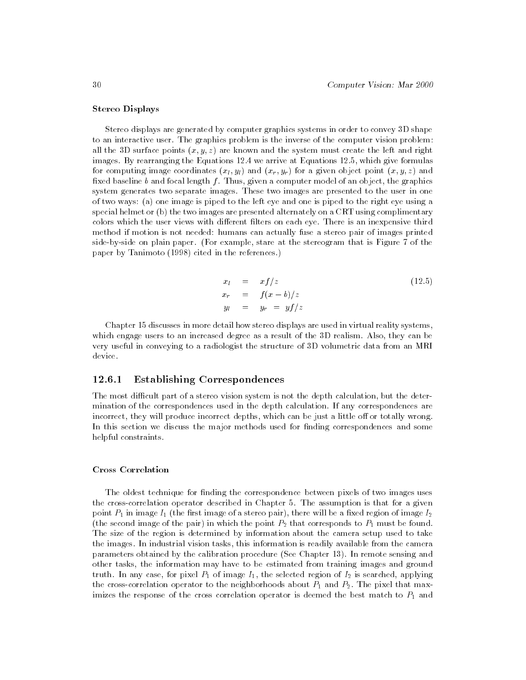### Stereo Displays

Stereo displays are generated by computer graphics systems in order to convey 3D shape to an interactive user. The graphics problem is the inverse of the computer vision problem: all the 3D surface points  $(x, y, z)$  are known and the system must create the left and right images. By rearranging the Equations 12.4 we arrive at Equations 12.5, which give formulas for computing image coordinates  $(x_l, y_l)$  and  $(x_r, y_r)$  for a given object point  $(x, y, z)$  and fixed baseline b and focal length f. Thus, given a computer model of an object, the graphics system generates two separate images. These two images are presented to the user in one of two ways: (a) one image is piped to the left eye and one is piped to the right eye using a special helmet or (b) the two images are presented alternately on a CRT using complimentary colors which the user views with different filters on each eye. There is an inexpensive third method if motion is not needed: humans can actually fuse a stereo pair of images printed side-by-side on plain paper. (For example, stare at the stereogram that is Figure 7 of the paper by Tanimoto (1998) cited in the references.)

$$
x_l = x f/z
$$
  
\n
$$
x_r = f(x - b)/z
$$
  
\n
$$
y_l = y_r = yf/z
$$
\n(12.5)

Chapter 15 discusses in more detail how stereo displays are used in virtual reality systems, which engage users to an increased degree as a result of the 3D realism. Also, they can be very useful in conveying to a radiologist the structure of 3D volumetric data from an MRI device.

### 12.6.1 Establishing Correspondences

The most difficult part of a stereo vision system is not the depth calculation, but the determination of the correspondences used in the depth calculation. If any correspondences are incorrect, they will produce incorrect depths, which can be just a little off or totally wrong. In this section we discuss the major methods used for finding correspondences and some helpful constraints.

### Cross Correlation

The oldest technique for finding the correspondence between pixels of two images uses the cross-correlation operator described in Chapter 5. The assumption is that for a given point  $P_1$  in image  $I_1$  (the first image of a stereo pair), there will be a fixed region of image  $I_2$ (the second image of the pair) in which the point  $P_2$  that corresponds to  $P_1$  must be found. The size of the region is determined by information about the camera setup used to take the images. In industrial vision tasks, this information is readily available from the camera parameters obtained by the calibration procedure (See Chapter 13). In remote sensing and other tasks, the information may have to be estimated from training images and ground truth. In any case, for pixel  $P_1$  of image  $I_1$ , the selected region of  $I_2$  is searched, applying the cross-correlation operator to the neighborhoods about  $P_1$  and  $P_2$ . The pixel that maximizes the response of the cross correlation operator is deemed the best match to  $P_1$  and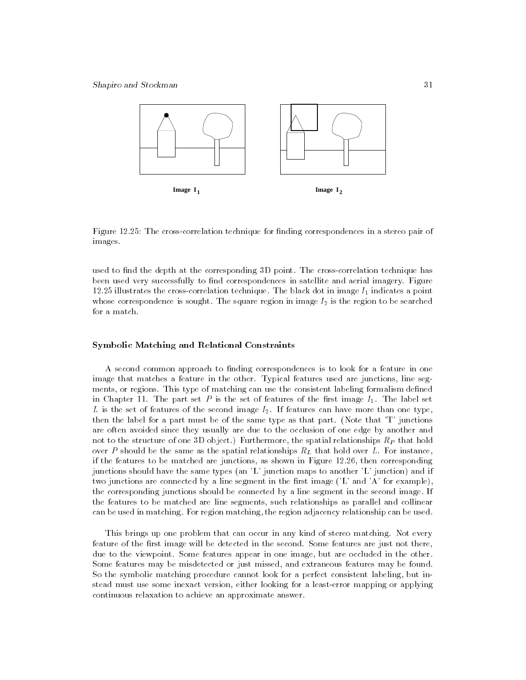

Figure 12.25: The cross-correlation technique for finding correspondences in a stereo pair of images.

used to find the depth at the corresponding 3D point. The cross-correlation technique has been used very successfully to find correspondences in satellite and aerial imagery. Figure 12.25 illustrates the cross-correlation technique. The black dot in image  $I_1$  indicates a point whose correspondence is sought. The square region in image  $I_2$  is the region to be searched for a match.

### Symbolic Matching and Relational Constraints

A second common approach to finding correspondences is to look for a feature in one image that matches a feature in the other. Typical features used are junctions, line seg ments, or regions. This type of matching can use the consistent labeling formalism defined in Chapter 11. The part set  $P$  is the set of features of the first image  $I_1$ . The label set L is the set of features of the second image  $I_2$ . If features can have more than one type, then the label for a part must be of the same type as that part. (Note that 'T' junctions are often avoided since they usually are due to the occlusion of one edge by another and not to the structure of one 3D object.) Furthermore, the spatial relationships  $R_P$  that hold over P should be the same as the spatial relationships  $R_L$  that hold over L. For instance, if the features to be matched are junctions, as shown in Figure 12.26, then corresponding junctions should have the same types (an 'L' junction maps to another 'L' junction) and if two junctions are connected by a line segment in the first image  $(2L'$  and  $A'$  for example), the corresponding junctions should be connected by a line segment in the second image. If the features to be matched are line segments, such relationships as parallel and collinear can be used in matching. For region matching, the region adjacency relationship can be used.

This brings up one problem that can occur in any kind of stereo matching. Not every feature of the first image will be detected in the second. Some features are just not there, due to the viewpoint. Some features appear in one image, but are occluded in the other. Some features may be misdetected or just missed, and extraneous features may be found. So the symbolic matching procedure cannot look for a perfect consistent labeling, but instead must use some inexact version, either looking for a least-error mapping or applying continuous relaxation to achieve an approximate answer.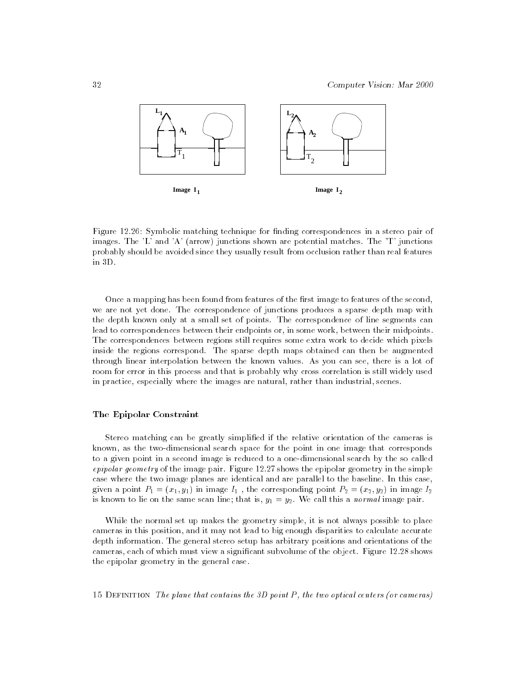

Figure 12.26: Symbolic matching technique for finding correspondences in a stereo pair of images. The 'L' and 'A' (arrow) junctions shown are potential matches. The 'T' junctions probably should be avoided since they usually result from occlusion rather than real features in 3D.

Once a mapping has been found from features of the first image to features of the second, we are not yet done. The correspondence of junctions produces a sparse depth map with the depth known only at a small set of points. The correspondence of line segments can lead to correspondences between their endpoints or, in some work, between their midpoints. The correspondences between regions still requires some extra work to decide which pixels inside the regions correspond. The sparse depth maps obtained can then be augmented through linear interpolation between the known values. As you can see, there is a lot of room for error in this process and that is probably why cross correlation is still widely used in practice, especially where the images are natural, rather than industrial, scenes.

### The Epipolar Constraint

Stereo matching can be greatly simplied if the relative orientation of the cameras is known, as the two-dimensional search space for the point in one image that corresponds to a given point in a second image is reduced to a one-dimensional search by the so called epipolar geometry of the image pair. Figure  $12.27$  shows the epipolar geometry in the simple case where the two image planes are identical and are parallel to the baseline. In this case, given a point  $P_1 = (x_1, y_1)$  in image  $I_1$ , the corresponding point  $P_2 = (x_2, y_2)$  in image  $I_2$ is known to lie on the same scan line; that is,  $y_1 = y_2$ . We call this a *normal* image pair.

While the normal set up makes the geometry simple, it is not always possible to place cameras in this position, and it may not lead to big enough disparities to calculate accurate depth information. The general stereo setup has arbitrary positions and orientations of the cameras, each of which must view a signicant subvolume of the object. Figure 12.28 shows the epipolar geometry in the general case.

15 DEFINITION The plane that contains the 3D point  $P$ , the two optical centers (or cameras)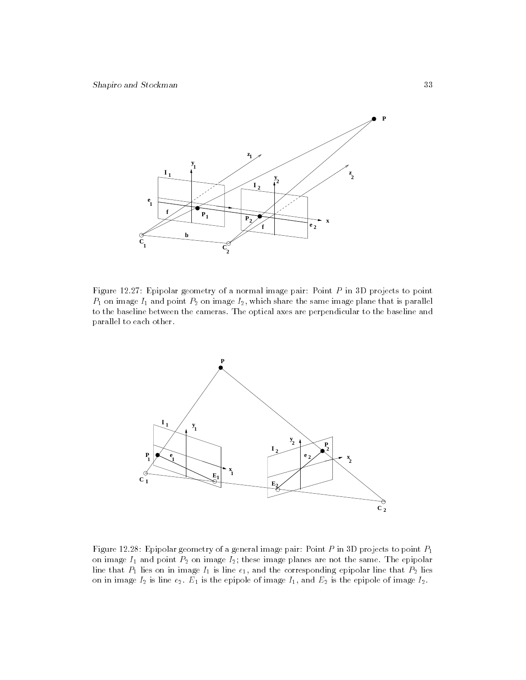

Figure 12.27: Epipolar geometry of a normal image pair: Point <sup>P</sup> in 3D projects to point  $P_1$  on image  $I_1$  and point  $P_2$  on image  $I_2$ , which share the same image plane that is parallel to the baseline between the cameras. The optical axes are perpendicular to the baseline and parallel to each other.



Figure 12.28: Epipolar geometry of a general image pair: Point  $P$  in 3D projects to point  $P_1$ on image  $I_1$  and point  $P_2$  on image  $I_2$ ; these image planes are not the same. The epipolar line that P1 lies on in image I1 is line e1, and the corresponding epipolar line that P2 lies on in image I2 is line e2. E1 is the epipole of image I1, and E2 is the epipole of image I2.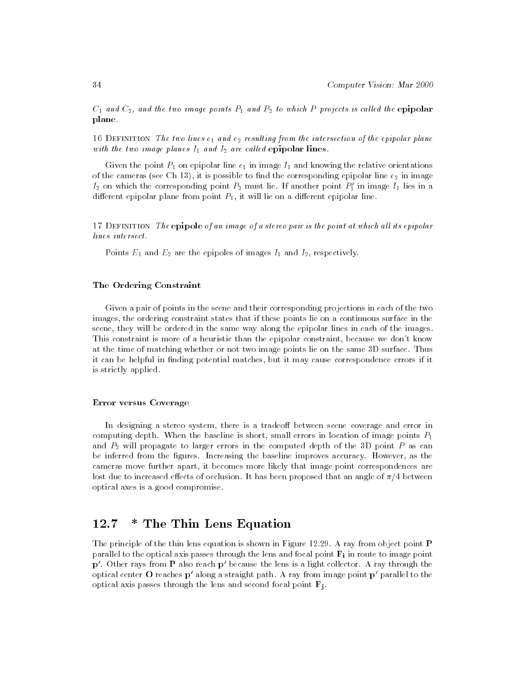$C_1$  and  $C_2$ , and the two image points  $P_1$  and  $P_2$  to which P projects is called the epipolar plane.

16 DEFINITION The two lines  $e_1$  and  $e_2$  resulting from the intersection of the epipolar plane with the two image planes  $I_1$  and  $I_2$  are called epipolar lines.

Given the point  $P_1$  on epipolar line  $e_1$  in image  $I_1$  and knowing the relative orientations of the cameras (see Ch 13), it is possible to find the corresponding epipolar line  $e_2$  in image  $I_2$  on which the corresponding point  $P_2$  must lie. If another point  $P_1'$  in image  $I_1$  lies in a different epipolar plane from point  $P_1$ , it will lie on a different epipolar line.

17 DEFINITION The epipole of an image of a stereo pair is the point at which all its epipolar lines intersect.

Points  $E_1$  and  $E_2$  are the epipoles of images  $I_1$  and  $I_2$ , respectively.

### The Ordering Constraint

Given a pair of points in the scene and their corresponding projections in each of the two images, the ordering constraint states that if these points lie on a continuous surface in the scene, they will be ordered in the same way along the epipolar lines in each of the images. This constraint is more of a heuristic than the epipolar constraint, because we don't know at the time of matching whether or not two image points lie on the same 3D surface. Thus it can be helpful in finding potential matches, but it may cause correspondence errors if it is strictly applied.

### Error versus Coverage

In designing a stereo system, there is a tradeoff between scene coverage and error in computing depth. When the baseline is short, small errors in location of image points  $P_1$ and  $P_2$  will propagate to larger errors in the computed depth of the 3D point P as can be inferred from the figures. Increasing the baseline improves accuracy. However, as the cameras move further apart, it becomes more likely that image point correspondences are lost due to increased effects of occlusion. It has been proposed that an angle of  $\pi/4$  between optical axes is a good compromise.

# 12.7 \* The Thin Lens Equation

The principle of the thin lens equation is shown in Figure 12.29. A ray from object point P parallel to the optical axis passes through the lens and focal point  $\mathbf{F}_i$  in route to image point  $p'$ . Other rays from **P** also reach  $p'$  because the lens is a light collector. A ray through the optical center O reaches  $p'$  along a straight path. A ray from image point  $p'$  parallel to the optical axis passes through the lens and second focal point  $\mathbf{F}_i$ .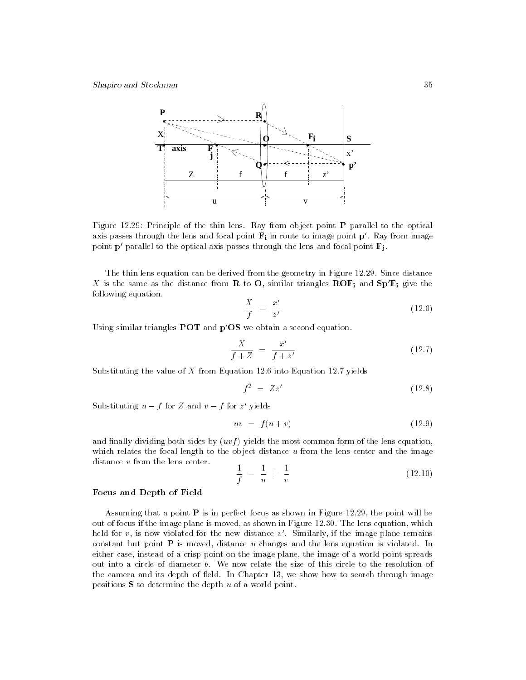

Figure 12.29: Principle of the thin lens. Ray from object point P parallel to the optical axis passes through the lens and focal point  $\mathbf{F}_i$  in route to image point  $\mathbf{p}'$ . Ray from image point  $p'$  parallel to the optical axis passes through the lens and focal point  $\mathbf{F}_i$ .

The thin lens equation can be derived from the geometry in Figure 12.29. Since distance X is the same as the distance from R to O, similar triangles  $\mathbf{ROF_i}$  and  $\mathbf{Sp}'\mathbf{F_i}$  give the following equation.

$$
\frac{X}{f} = \frac{x'}{z'}
$$
\n(12.6)

Using similar triangles **POT** and  $p'OS$  we obtain a second equation.

$$
\frac{X}{f+Z} = \frac{x'}{f+z'}
$$
\n
$$
(12.7)
$$

Substituting the value of  $X$  from Equation 12.6 into Equation 12.7 yields

$$
f^2 = Zz' \tag{12.8}
$$

Substituting  $u - f$  for  $\Delta$  and  $v - f$  for  $z$  yields

$$
uv = f(u+v) \tag{12.9}
$$

and finally dividing both sides by  $(uvf)$  yields the most common form of the lens equation, which relates the focal length to the object distance  $u$  from the lens center and the image distance <sup>v</sup> from the lens center.

$$
\frac{1}{f} = \frac{1}{u} + \frac{1}{v} \tag{12.10}
$$

### Focus and Depth of Field

Assuming that a point  $P$  is in perfect focus as shown in Figure 12.29, the point will be out of focus if the image plane is moved, as shown in Figure 12.30. The lens equation, which held for  $v$ , is now violated for the new distance  $v'$ . Similarly, if the image plane remains constant but point  $P$  is moved, distance  $u$  changes and the lens equation is violated. In either case, instead of a crisp point on the image plane, the image of a world point spreads out into a circle of diameter b. We now relate the size of this circle to the resolution of the camera and its depth of field. In Chapter 13, we show how to search through image positions  $S$  to determine the depth  $u$  of a world point.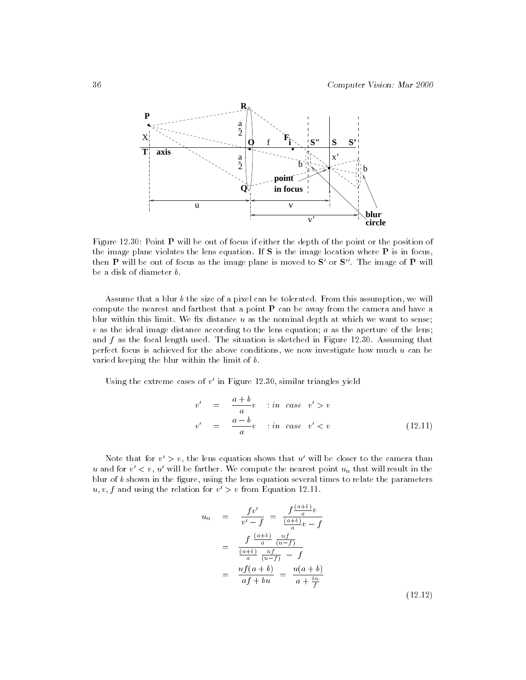

Figure  $12.30$ : Point **P** will be out of focus if either the depth of the point or the position of the image plane violates the lens equation. If S is the image location where P is in focus, then P will be out of focus as the image plane is moved to  $S'$  or  $S''$ . The image of P will be a disk of diameter b.

Assume that a blur  $b$  the size of a pixel can be tolerated. From this assumption, we will compute the nearest and farthest that a point  $P$  can be away from the camera and have a blur within this limit. We fix distance  $u$  as the nominal depth at which we want to sense;  $v$  as the ideal image distance according to the lens equation;  $a$  as the aperture of the lens; and  $f$  as the focal length used. The situation is sketched in Figure 12.30. Assuming that perfect focus is achieved for the above conditions, we now investigate how much  $u$  can be varied keeping the blur within the limit of b.

Using the extreme cases of  $v'$  in Figure 12.30, similar triangles yield

$$
v' = \frac{a+b}{a}v \quad \text{in case} \quad v' > v
$$
  

$$
v' = \frac{a-b}{a}v \quad \text{in case} \quad v' < v
$$
 (12.11)

Note that for  $v' > v$ , the lens equation shows that u' will be closer to the camera than u and for  $v' < v$ , u' will be farther. We compute the nearest point  $u_n$  that will result in the blur of  $b$  shown in the figure, using the lens equation several times to relate the parameters  $u, v, f$  and using the relation for  $v' > v$  from Equation 12.11.

$$
u_n = \frac{fv'}{v' - f} = \frac{f\frac{(a+b)}{a}v}{\frac{(a+b)}{a}v - f}
$$
  

$$
= \frac{f\frac{(a+b)}{a} \frac{uf}{(u-f)}}{\frac{(a+b)}{a} \frac{uf}{(u-f)} - f}
$$
  

$$
= \frac{uf(a+b)}{af + bu} = \frac{u(a+b)}{a + \frac{bu}{f}}
$$
(12.12)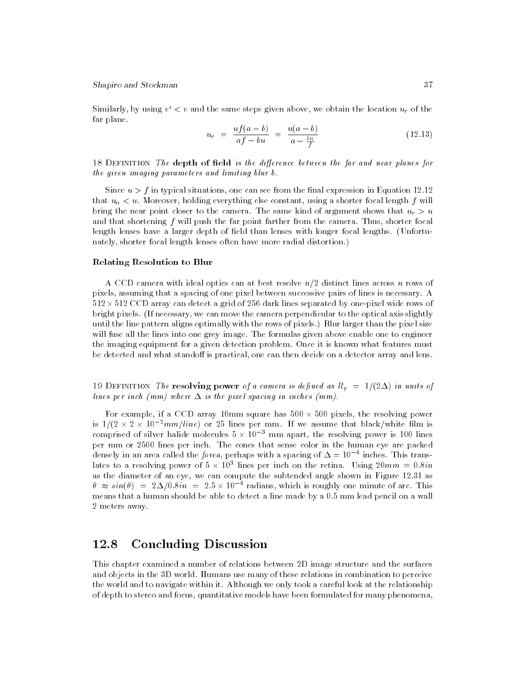Similarly, by using  $v' < v$  and the same steps given above, we obtain the location  $u_r$  of the far plane.

$$
u_r = \frac{uf(a-b)}{af - bu} = \frac{u(a-b)}{a - \frac{bu}{f}}
$$
 (12.13)

18 DEFINITION The depth of field is the difference between the far and near planes for the given imaging parameters and limiting blur b.

Since  $u > f$  in typical situations, one can see from the final expression in Equation 12.12 that  $u_n < u$ . Moreover, holding everything else constant, using a shorter focal length f will bring the near point closer to the camera. The same kind of argument shows that  $u_r > u$ and that shortening  $f$  will push the far point farther from the camera. Thus, shorter focal length lenses have a larger depth of field than lenses with longer focal lengths. (Unfortunately, shorter focal length lenses often have more radial distortion.)

#### Relating Resolution to Blur

A CCD camera with ideal optics can at best resolve  $n/2$  distinct lines across n rows of pixels, assuming that a spacing of one pixel between successive pairs of lines is necessary. A 512 - 512 CCD array can detect a grid of 256 dark lines separated by one-pixel wide rows of bright pixels. (If necessary, we can move the camera perpendicular to the optical axis slightly until the line pattern aligns optimally with the rows of pixels.) Blur larger than the pixel size will fuse all the lines into one grey image. The formulas given above enable one to engineer the imaging equipment for a given detection problem. Once it is known what features must be detected and what standoff is practical, one can then decide on a detector array and lens.

19 DEFINITION The resolving power of a camera is defined as  $R_p = 1/(2\Delta)$  in units of lines per inch (mm) where  $\Delta$  is the pixel spacing in inches (mm).

For example, if a CCD array 10mm square has 500  $\times$  500 pixels, the resolving power is 1/(2  $\times$  2  $\times$  10  $\textdegree$   $mm/line$ ) or 25 lines per mm. If we assume that black/white film is comprised of silver halide molecules  $5 \times 10^{-9}$  mm apart, the resolving power is 100 lines per mm or 2500 lines per inch. The cones that sense color in the human eye are packed densely in an area called the *fovea*, perhaps with a spacing of  $\Delta \equiv 10^{-4}$  inches. This translates to a resolving power of 5  $\times$  10° lines per inch on the retina. Using 20 $mm$   $=$  0.8 $in$ as the diameter of an eye, we can compute the subtended angle shown in Figure 12.31 as  $\theta \approx sin(\theta) = 2\Delta/0.8in = 2.5 \times 10^{-4}$  radians, which is roughly one minute of arc. This means that a human should be able to detect a line made by a 0.5 mm lead pencil on a wall 2 meters away.

#### 12.8 **Concluding Discussion**

This chapter examined a number of relations between 2D image structure and the surfaces and objects in the 3D world. Humans use many of these relations in combination to perceive the world and to navigate within it. Although we only took a careful look at the relationship of depth to stereo and focus, quantitative models have been formulated for many phenomena,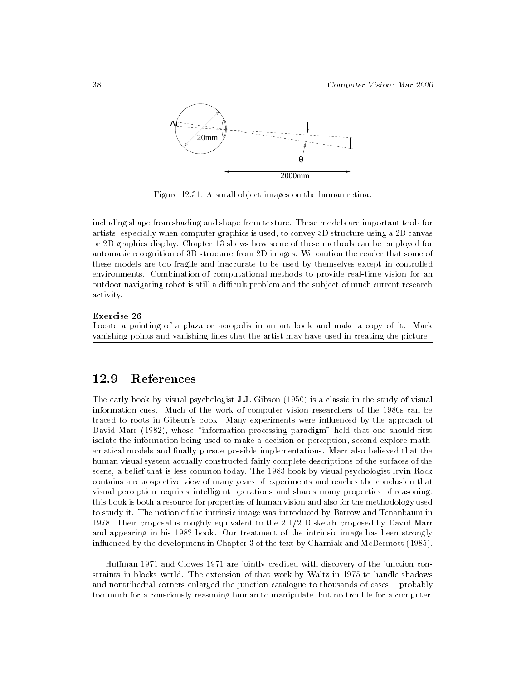

Figure 12.31: A small object images on the human retina.

including shape from shading and shape from texture. These models are important tools for artists, especially when computer graphics is used, to convey 3D structure using a 2D canvas or 2D graphics display. Chapter 13 shows how some of these methods can be employed for automatic recognition of 3D structure from 2D images. We caution the reader that some of these models are too fragile and inaccurate to be used by themselves except in controlled environments. Combination of computational methods to provide real-time vision for an outdoor navigating robot is still a difficult problem and the subject of much current research activity.

### Exercise 26

Locate a painting of a plaza or acropolis in an art book and make a copy of it. Mark vanishing points and vanishing lines that the artist may have used in creating the picture.

#### 12.9 References

The early book by visual psychologist J.J. Gibson (1950) is a classic in the study of visual information cues. Much of the work of computer vision researchers of the 1980s can be traced to roots in Gibson's book. Many experiments were in
uenced by the approach of David Marr (1982), whose "information processing paradigm" held that one should first isolate the information being used to make a decision or perception, second explore mathematical models and finally pursue possible implementations. Marr also believed that the human visual system actually constructed fairly complete descriptions of the surfaces of the scene, a belief that is less common today. The 1983 book by visual psychologist Irvin Rock contains a retrospective view of many years of experiments and reaches the conclusion that visual perception requires intelligent operations and shares many properties of reasoning: this book is both a resource for properties of human vision and also for the methodology used to study it. The notion of the intrinsic image was introduced by Barrow and Tenanbaum in 1978. Their proposal is roughly equivalent to the 2 1/2 D sketch proposed by David Marr and appearing in his 1982 book. Our treatment of the intrinsic image has been strongly in
uenced by the development in Chapter 3 of the text by Charniak and McDermott (1985).

Human 1971 and Clowes 1971 are jointly credited with discovery of the junction constraints in blocks world. The extension of that work by Waltz in 1975 to handle shadows and nontrihedral corners enlarged the junction catalogue to thousands of cases - probably too much for a consciously reasoning human to manipulate, but no trouble for a computer.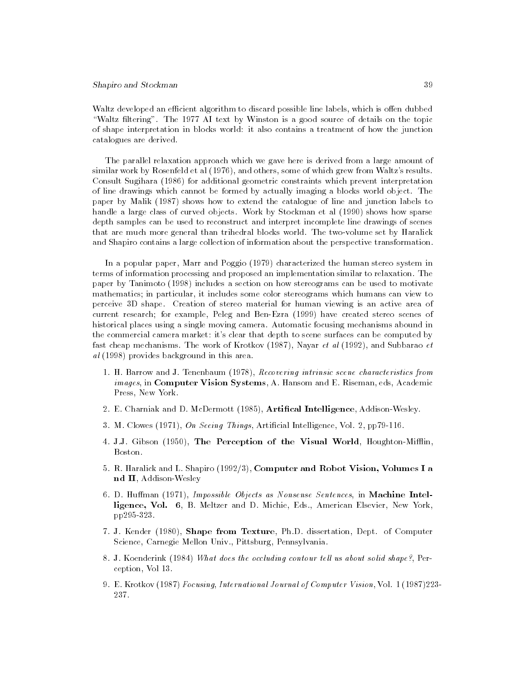Waltz developed an efficient algorithm to discard possible line labels, which is offen dubbed "Waltz filtering". The 1977 AI text by Winston is a good source of details on the topic of shape interpretation in blocks world: it also contains a treatment of how the junction catalogues are derived.

The parallel relaxation approach which we gave here is derived from a large amount of similar work by Rosenfeld et al (1976), and others, some of which grew from Waltz's results. Consult Sugihara (1986) for additional geometric constraints which prevent interpretation of line drawings which cannot be formed by actually imaging a blocks world object. The paper by Malik (1987) shows how to extend the catalogue of line and junction labels to handle a large class of curved objects. Work by Stockman et al (1990) shows how sparse depth samples can be used to reconstruct and interpret incomplete line drawings of scenes that are much more general than trihedral blocks world. The two-volume set by Haralick and Shapiro contains a large collection of information about the perspective transformation.

In a popular paper, Marr and Poggio (1979) characterized the human stereo system in terms of information processing and proposed an implementation similar to relaxation. The paper by Tanimoto (1998) includes a section on how stereograms can be used to motivate mathematics; in particular, it includes some color stereograms which humans can view to perceive 3D shape. Creation of stereo material for human viewing is an active area of current research; for example, Peleg and Ben-Ezra (1999) have created stereo scenes of historical places using a single moving camera. Automatic focusing mechanisms abound in the commercial camera market: it's clear that depth to scene surfaces can be computed by fast cheap mechanisms. The work of Krotkov (1987), Nayar et al (1992), and Subbarao et al (1998) provides background in this area.

- 1. H. Barrow and J. Tenenbaum (1978), Recovering intrinsic scene characteristics from images, in Computer Vision Systems, A. Hansom and E. Riseman, eds, Academic Press, New York.
- 2. E. Charniak and D. McDermott (1985), **Artifical Intelligence**, Addison-Wesley.
- 3. M. Clowes (1971), On Seeing Things, Articial Intelligence, Vol. 2, pp79-116.
- 4. J.J. Gibson (1950), The Perception of the Visual World, Houghton-Mifflin, Boston.
- 5. R. Haralick and L. Shapiro (1992/3), Computer and Robot Vision, Volumes I a nd II, Addison-Wesley
- 6. D. Huffman (1971), Impossible Objects as Nonsense Sentences, in Machine Intelligence, Vol. 6, B. Meltzer and D. Michie, Eds., American Elsevier, New York, pp295-323.
- 7. J. Kender (1980), Shape from Texture, Ph.D. dissertation, Dept. of Computer Science, Carnegie Mellon Univ., Pittsburg, Pennsylvania.
- 8. J. Koenderink (1984) What does the occluding contour tell us about solid shape?, Perception, Vol 13.
- 9. E. Krotkov (1987) Focusing, International Journal of Computer Vision, Vol. 1 (1987)223- 237.